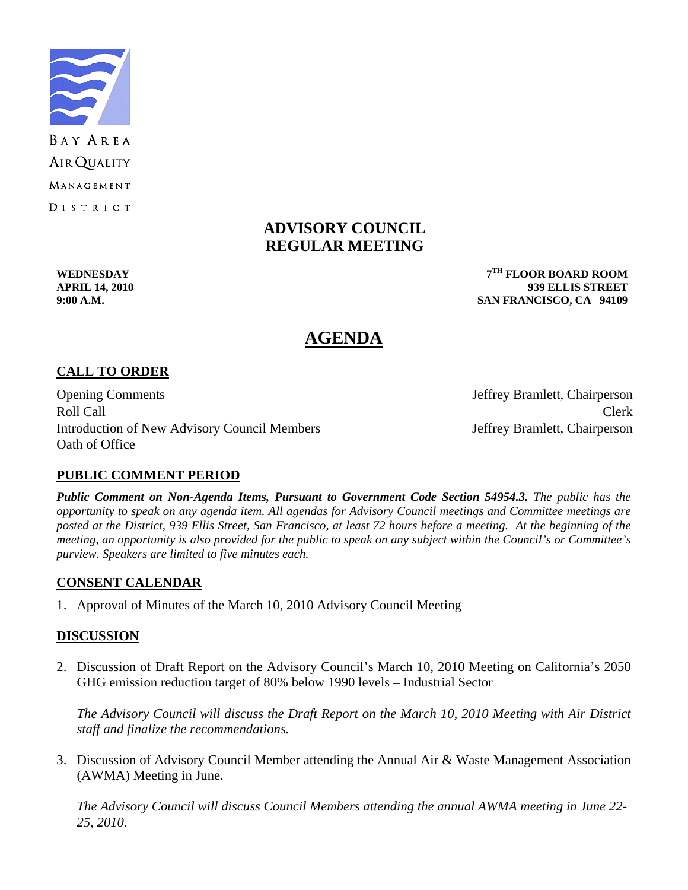

# **ADVISORY COUNCIL REGULAR MEETING**

**WEDNESDAY 7TH FLOOR BOARD ROOM APRIL 14, 2010 939 ELLIS STREET 9:00 A.M. SAN FRANCISCO, CA 94109** 

# **AGENDA**

# **CALL TO ORDER**

Opening Comments Jeffrey Bramlett, Chairperson Roll Call Call Contract Clerk Introduction of New Advisory Council Members Jeffrey Bramlett, Chairperson Oath of Office

# **PUBLIC COMMENT PERIOD**

*Public Comment on Non-Agenda Items, Pursuant to Government Code Section 54954.3. The public has the opportunity to speak on any agenda item. All agendas for Advisory Council meetings and Committee meetings are posted at the District, 939 Ellis Street, San Francisco, at least 72 hours before a meeting. At the beginning of the meeting, an opportunity is also provided for the public to speak on any subject within the Council's or Committee's purview. Speakers are limited to five minutes each.*

#### **CONSENT CALENDAR**

1. Approval of Minutes of the March 10, 2010 Advisory Council Meeting

# **DISCUSSION**

2. Discussion of Draft Report on the Advisory Council's March 10, 2010 Meeting on California's 2050 GHG emission reduction target of 80% below 1990 levels – Industrial Sector

 *The Advisory Council will discuss the Draft Report on the March 10, 2010 Meeting with Air District staff and finalize the recommendations.* 

3. Discussion of Advisory Council Member attending the Annual Air & Waste Management Association (AWMA) Meeting in June.

 *The Advisory Council will discuss Council Members attending the annual AWMA meeting in June 22- 25, 2010.*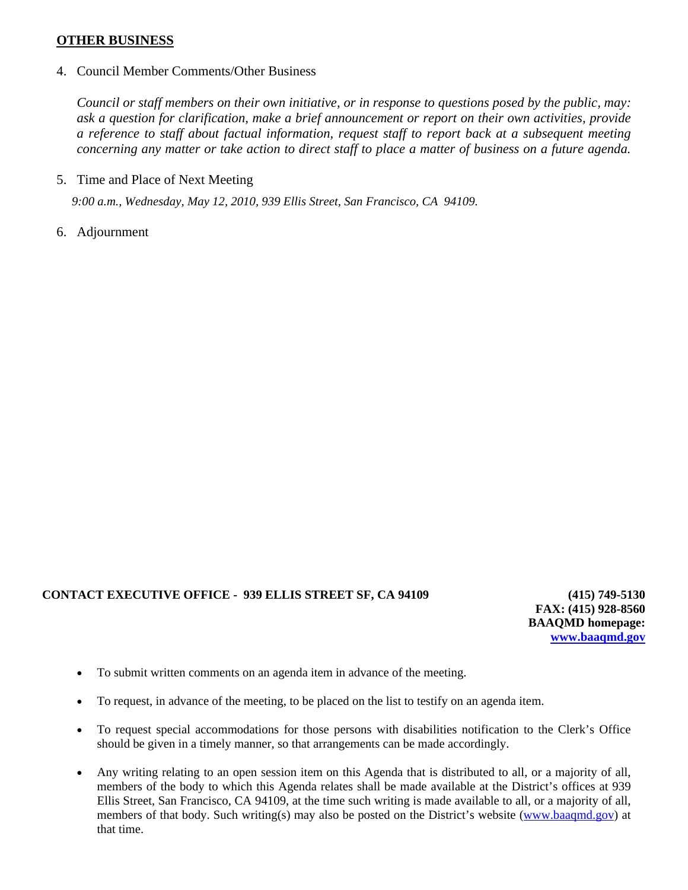#### **OTHER BUSINESS**

4. Council Member Comments/Other Business

*Council or staff members on their own initiative, or in response to questions posed by the public, may: ask a question for clarification, make a brief announcement or report on their own activities, provide a reference to staff about factual information, request staff to report back at a subsequent meeting concerning any matter or take action to direct staff to place a matter of business on a future agenda.* 

5. Time and Place of Next Meeting

*9:00 a.m., Wednesday, May 12, 2010, 939 Ellis Street, San Francisco, CA 94109.* 

6. Adjournment

#### **CONTACT EXECUTIVE OFFICE - 939 ELLIS STREET SF, CA 94109 (415) 749-5130**

**FAX: (415) 928-8560 BAAQMD homepage: [www.baaqmd.gov](http://www.baaqmd.gov/)**

- To submit written comments on an agenda item in advance of the meeting.
- To request, in advance of the meeting, to be placed on the list to testify on an agenda item.
- To request special accommodations for those persons with disabilities notification to the Clerk's Office should be given in a timely manner, so that arrangements can be made accordingly.
- Any writing relating to an open session item on this Agenda that is distributed to all, or a majority of all, members of the body to which this Agenda relates shall be made available at the District's offices at 939 Ellis Street, San Francisco, CA 94109, at the time such writing is made available to all, or a majority of all, members of that body. Such writing(s) may also be posted on the District's website [\(www.baaqmd.gov\)](http://www.baaqmd.gov/) at that time.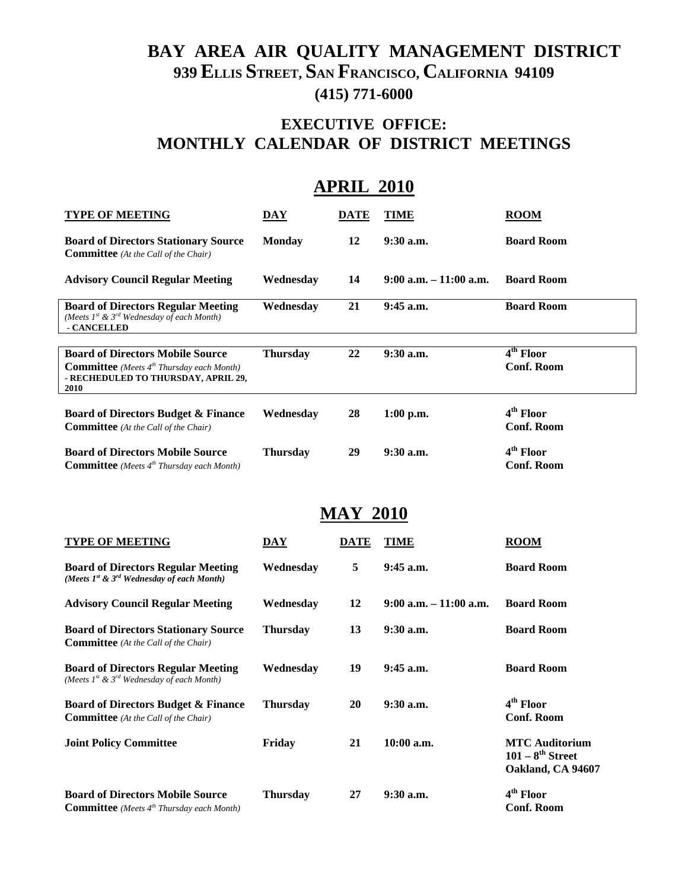# **BAY AREA AIR QUALITY MANAGEMENT DISTRICT 939 ELLIS STREET, SAN FRANCISCO, CALIFORNIA 94109 (415) 771-6000**

# **EXECUTIVE OFFICE: MONTHLY CALENDAR OF DISTRICT MEETINGS**

| <b>APRIL 2010</b>                                                                                                                            |                 |      |                           |                                            |  |
|----------------------------------------------------------------------------------------------------------------------------------------------|-----------------|------|---------------------------|--------------------------------------------|--|
| <b>TYPE OF MEETING</b>                                                                                                                       | DAY             | DATE | <b>TIME</b>               | <b>ROOM</b>                                |  |
| <b>Board of Directors Stationary Source</b><br><b>Committee</b> (At the Call of the Chair)                                                   | <b>Monday</b>   | 12   | $9:30$ a.m.               | <b>Board Room</b>                          |  |
| <b>Advisory Council Regular Meeting</b>                                                                                                      | Wednesday       | 14   | $9:00$ a.m. $-11:00$ a.m. | <b>Board Room</b>                          |  |
| <b>Board of Directors Regular Meeting</b><br>(Meets 1st & 3rd Wednesday of each Month)<br>- CANCELLED                                        | Wednesday       | 21   | $9:45$ a.m.               | <b>Board Room</b>                          |  |
| <b>Board of Directors Mobile Source</b><br><b>Committee</b> (Meets $4th Thursday each Month)$<br>- RECHEDULED TO THURSDAY, APRIL 29,<br>2010 | <b>Thursday</b> | 22   | 9:30 a.m.                 | 4 <sup>th</sup> Floor<br><b>Conf. Room</b> |  |
| <b>Board of Directors Budget &amp; Finance</b><br><b>Committee</b> (At the Call of the Chair)                                                | Wednesday       | 28   | 1:00 p.m.                 | 4 <sup>th</sup> Floor<br><b>Conf. Room</b> |  |
| <b>Board of Directors Mobile Source</b><br><b>Committee</b> (Meets 4 <sup>th</sup> Thursday each Month)                                      | <b>Thursday</b> | 29   | $9:30$ a.m.               | $4th$ Floor<br><b>Conf. Room</b>           |  |

# **MAY 2010**

| <b>TYPE OF MEETING</b>                                                                           | DAY             | <b>DATE</b> | <b>TIME</b>               | <b>ROOM</b>                                                         |
|--------------------------------------------------------------------------------------------------|-----------------|-------------|---------------------------|---------------------------------------------------------------------|
| <b>Board of Directors Regular Meeting</b><br>(Meets $I^{st}$ & $3^{rd}$ Wednesday of each Month) | Wednesday       | 5           | $9:45$ a.m.               | <b>Board Room</b>                                                   |
| <b>Advisory Council Regular Meeting</b>                                                          | Wednesday       | 12          | $9:00$ a.m. $-11:00$ a.m. | <b>Board Room</b>                                                   |
| <b>Board of Directors Stationary Source</b><br><b>Committee</b> (At the Call of the Chair)       | <b>Thursday</b> | 13          | $9:30$ a.m.               | <b>Board Room</b>                                                   |
| <b>Board of Directors Regular Meeting</b><br>(Meets $I^{st}$ & $3^{rd}$ Wednesday of each Month) | Wednesday       | 19          | $9:45$ a.m.               | <b>Board Room</b>                                                   |
| <b>Board of Directors Budget &amp; Finance</b><br><b>Committee</b> (At the Call of the Chair)    | <b>Thursday</b> | 20          | $9:30$ a.m.               | 4 <sup>th</sup> Floor<br><b>Conf. Room</b>                          |
| <b>Joint Policy Committee</b>                                                                    | Friday          | 21          | $10:00$ a.m.              | <b>MTC Auditorium</b><br>$101 - 8^{th}$ Street<br>Oakland, CA 94607 |
| <b>Board of Directors Mobile Source</b><br><b>Committee</b> (Meets $4th Thursday each Month)$    | <b>Thursday</b> | 27          | $9:30$ a.m.               | 4 <sup>th</sup> Floor<br><b>Conf. Room</b>                          |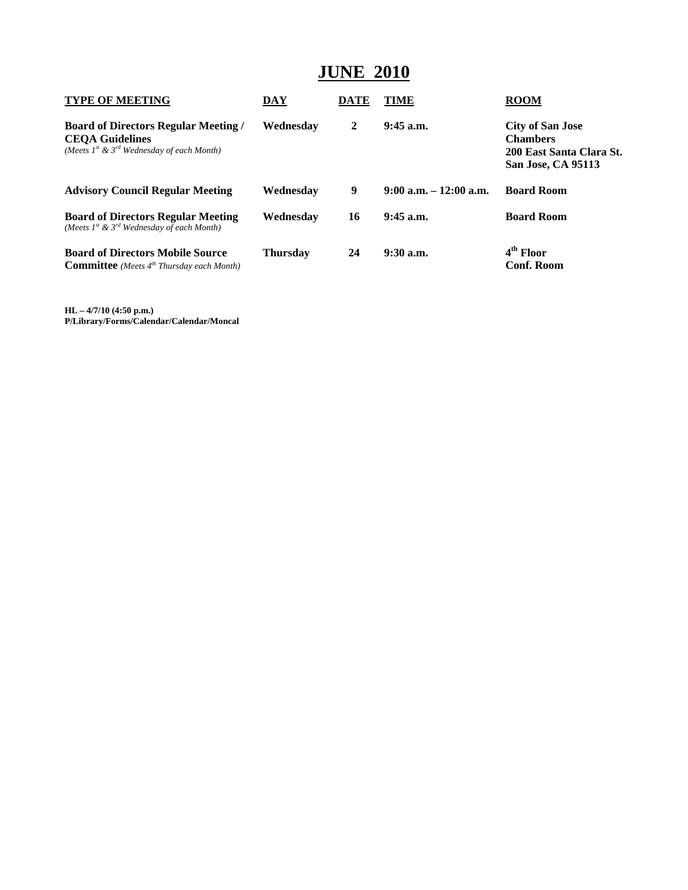# **JUNE 2010**

| <b>TYPE OF MEETING</b>                                                                                                       | <b>DAY</b>      | DATE | TIME                      | <b>ROOM</b>                                                                                  |
|------------------------------------------------------------------------------------------------------------------------------|-----------------|------|---------------------------|----------------------------------------------------------------------------------------------|
| <b>Board of Directors Regular Meeting /</b><br><b>CEOA Guidelines</b><br>(Meets $I^{st}$ & $3^{rd}$ Wednesday of each Month) | Wednesdav       | 2    | $9:45$ a.m.               | <b>City of San Jose</b><br><b>Chambers</b><br>200 East Santa Clara St.<br>San Jose, CA 95113 |
| <b>Advisory Council Regular Meeting</b>                                                                                      | Wednesdav       | 9    | $9:00$ a.m. $-12:00$ a.m. | <b>Board Room</b>                                                                            |
| <b>Board of Directors Regular Meeting</b><br>(Meets $I^{st}$ & $3^{rd}$ Wednesday of each Month)                             | Wednesdav       | 16   | $9:45$ a.m.               | <b>Board Room</b>                                                                            |
| <b>Board of Directors Mobile Source</b><br><b>Committee</b> (Meets $4^{th}$ Thursday each Month)                             | <b>Thursday</b> | 24   | $9:30$ a.m.               | 4 <sup>th</sup> Floor<br><b>Conf. Room</b>                                                   |

**HL – 4/7/10 (4:50 p.m.) P/Library/Forms/Calendar/Calendar/Moncal**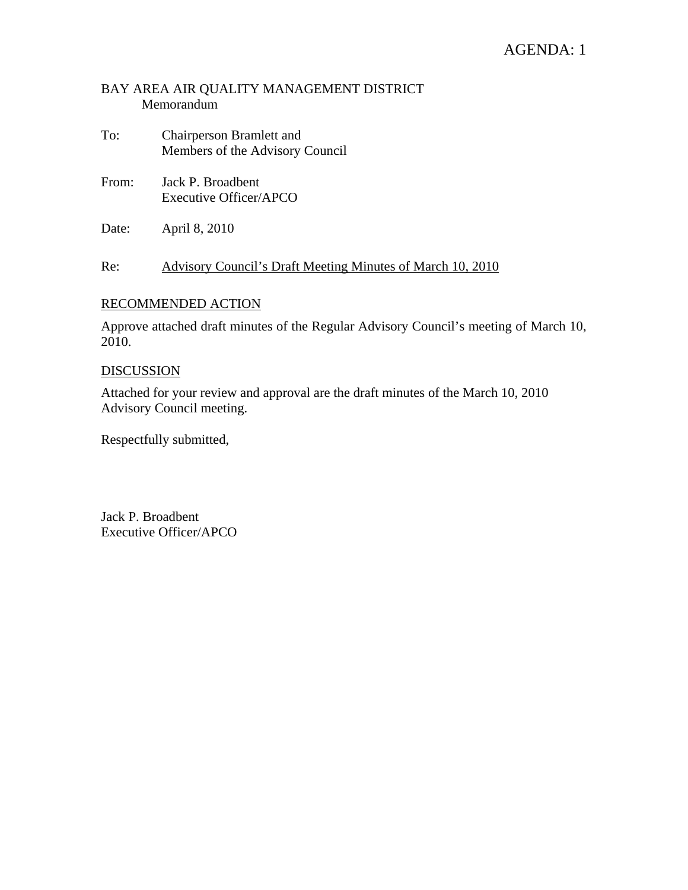# AGENDA: 1

#### BAY AREA AIR QUALITY MANAGEMENT DISTRICT Memorandum

- To: Chairperson Bramlett and Members of the Advisory Council
- From: Jack P. Broadbent Executive Officer/APCO
- Date: April 8, 2010

Re: Advisory Council's Draft Meeting Minutes of March 10, 2010

#### RECOMMENDED ACTION

Approve attached draft minutes of the Regular Advisory Council's meeting of March 10, 2010.

#### DISCUSSION

Attached for your review and approval are the draft minutes of the March 10, 2010 Advisory Council meeting.

Respectfully submitted,

Jack P. Broadbent Executive Officer/APCO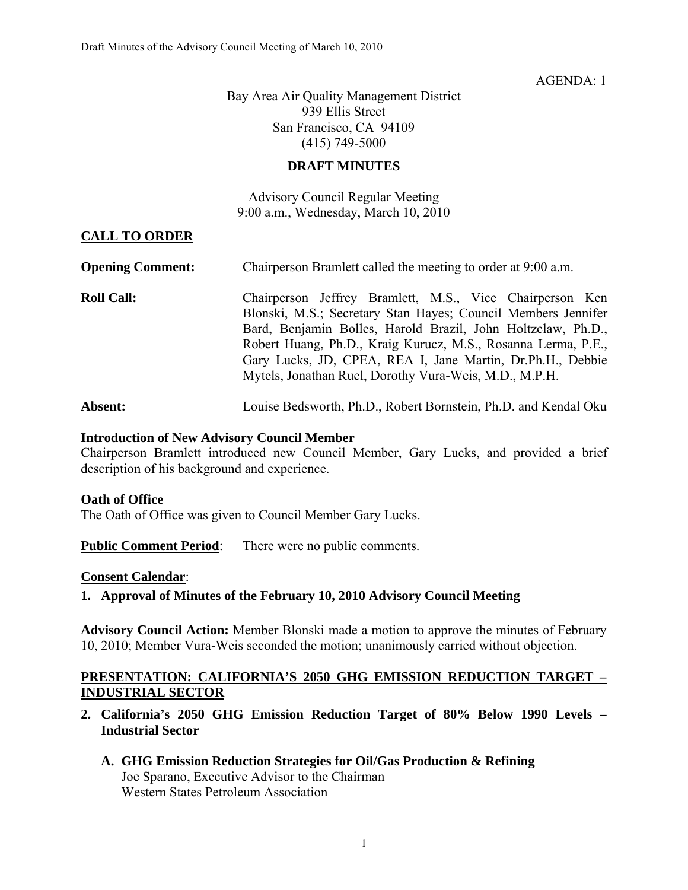#### $AGENDA \cdot 1$

Bay Area Air Quality Management District 939 Ellis Street San Francisco, CA 94109 (415) 749-5000

#### **DRAFT MINUTES**

Advisory Council Regular Meeting 9:00 a.m., Wednesday, March 10, 2010

#### **CALL TO ORDER**

| <b>Opening Comment:</b> | Chairperson Bramlett called the meeting to order at 9:00 a.m.                                                                                                                                                                                                                                                                                                                      |  |  |  |  |
|-------------------------|------------------------------------------------------------------------------------------------------------------------------------------------------------------------------------------------------------------------------------------------------------------------------------------------------------------------------------------------------------------------------------|--|--|--|--|
| <b>Roll Call:</b>       | Chairperson Jeffrey Bramlett, M.S., Vice Chairperson Ken<br>Blonski, M.S.; Secretary Stan Hayes; Council Members Jennifer<br>Bard, Benjamin Bolles, Harold Brazil, John Holtzclaw, Ph.D.,<br>Robert Huang, Ph.D., Kraig Kurucz, M.S., Rosanna Lerma, P.E.,<br>Gary Lucks, JD, CPEA, REA I, Jane Martin, Dr.Ph.H., Debbie<br>Mytels, Jonathan Ruel, Dorothy Vura-Weis, M.D., M.P.H. |  |  |  |  |
| Absent:                 | Louise Bedsworth, Ph.D., Robert Bornstein, Ph.D. and Kendal Oku                                                                                                                                                                                                                                                                                                                    |  |  |  |  |

#### **Introduction of New Advisory Council Member**

Chairperson Bramlett introduced new Council Member, Gary Lucks, and provided a brief description of his background and experience.

#### **Oath of Office**

The Oath of Office was given to Council Member Gary Lucks.

**Public Comment Period:** There were no public comments.

#### **Consent Calendar**:

**1. Approval of Minutes of the February 10, 2010 Advisory Council Meeting** 

**Advisory Council Action:** Member Blonski made a motion to approve the minutes of February 10, 2010; Member Vura-Weis seconded the motion; unanimously carried without objection.

#### **PRESENTATION: CALIFORNIA'S 2050 GHG EMISSION REDUCTION TARGET – INDUSTRIAL SECTOR**

- **2. California's 2050 GHG Emission Reduction Target of 80% Below 1990 Levels Industrial Sector** 
	- **A. GHG Emission Reduction Strategies for Oil/Gas Production & Refining**  Joe Sparano, Executive Advisor to the Chairman Western States Petroleum Association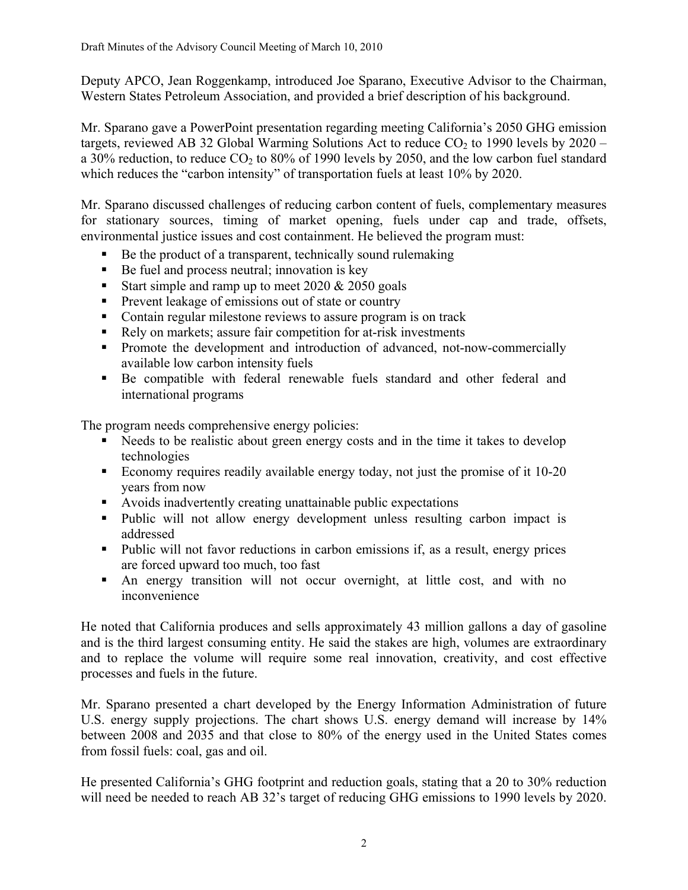Deputy APCO, Jean Roggenkamp, introduced Joe Sparano, Executive Advisor to the Chairman, Western States Petroleum Association, and provided a brief description of his background.

Mr. Sparano gave a PowerPoint presentation regarding meeting California's 2050 GHG emission targets, reviewed AB 32 Global Warming Solutions Act to reduce  $CO<sub>2</sub>$  to 1990 levels by 2020 – a 30% reduction, to reduce  $CO<sub>2</sub>$  to 80% of 1990 levels by 2050, and the low carbon fuel standard which reduces the "carbon intensity" of transportation fuels at least 10% by 2020.

Mr. Sparano discussed challenges of reducing carbon content of fuels, complementary measures for stationary sources, timing of market opening, fuels under cap and trade, offsets, environmental justice issues and cost containment. He believed the program must:

- Be the product of a transparent, technically sound rulemaking
- Be fuel and process neutral; innovation is key
- Start simple and ramp up to meet  $2020 \& 2050$  goals
- **Prevent leakage of emissions out of state or country**
- Contain regular milestone reviews to assure program is on track
- Rely on markets; assure fair competition for at-risk investments
- Promote the development and introduction of advanced, not-now-commercially available low carbon intensity fuels
- Be compatible with federal renewable fuels standard and other federal and international programs

The program needs comprehensive energy policies:

- Needs to be realistic about green energy costs and in the time it takes to develop technologies
- Economy requires readily available energy today, not just the promise of it 10-20 years from now
- Avoids inadvertently creating unattainable public expectations
- Public will not allow energy development unless resulting carbon impact is addressed
- Public will not favor reductions in carbon emissions if, as a result, energy prices are forced upward too much, too fast
- An energy transition will not occur overnight, at little cost, and with no inconvenience

He noted that California produces and sells approximately 43 million gallons a day of gasoline and is the third largest consuming entity. He said the stakes are high, volumes are extraordinary and to replace the volume will require some real innovation, creativity, and cost effective processes and fuels in the future.

Mr. Sparano presented a chart developed by the Energy Information Administration of future U.S. energy supply projections. The chart shows U.S. energy demand will increase by  $14\%$ between 2008 and 2035 and that close to 80% of the energy used in the United States comes from fossil fuels: coal, gas and oil.

He presented California's GHG footprint and reduction goals, stating that a 20 to 30% reduction will need be needed to reach AB 32's target of reducing GHG emissions to 1990 levels by 2020.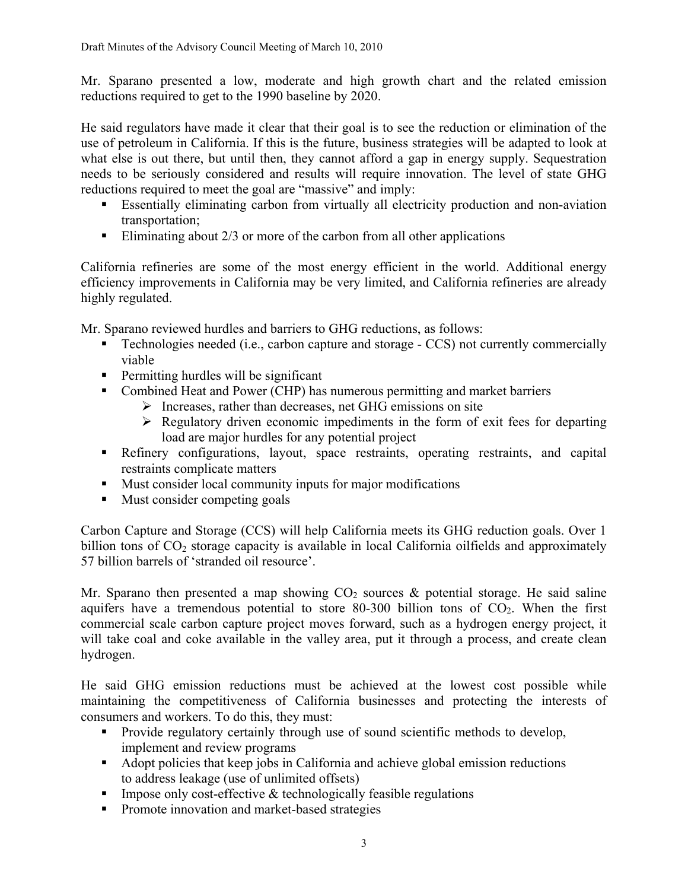Mr. Sparano presented a low, moderate and high growth chart and the related emission reductions required to get to the 1990 baseline by 2020.

He said regulators have made it clear that their goal is to see the reduction or elimination of the use of petroleum in California. If this is the future, business strategies will be adapted to look at what else is out there, but until then, they cannot afford a gap in energy supply. Sequestration needs to be seriously considered and results will require innovation. The level of state GHG reductions required to meet the goal are "massive" and imply:

- Essentially eliminating carbon from virtually all electricity production and non-aviation transportation;
- Eliminating about  $2/3$  or more of the carbon from all other applications

California refineries are some of the most energy efficient in the world. Additional energy efficiency improvements in California may be very limited, and California refineries are already highly regulated.

Mr. Sparano reviewed hurdles and barriers to GHG reductions, as follows:

- Technologies needed (i.e., carbon capture and storage CCS) not currently commercially viable
- **Permitting hurdles will be significant**
- Combined Heat and Power (CHP) has numerous permitting and market barriers
	- $\triangleright$  Increases, rather than decreases, net GHG emissions on site
	- $\triangleright$  Regulatory driven economic impediments in the form of exit fees for departing load are major hurdles for any potential project
- Refinery configurations, layout, space restraints, operating restraints, and capital restraints complicate matters
- **Must consider local community inputs for major modifications**
- Must consider competing goals

Carbon Capture and Storage (CCS) will help California meets its GHG reduction goals. Over 1 billion tons of  $CO<sub>2</sub>$  storage capacity is available in local California oilfields and approximately 57 billion barrels of 'stranded oil resource'.

Mr. Sparano then presented a map showing  $CO<sub>2</sub>$  sources & potential storage. He said saline aquifers have a tremendous potential to store  $80-300$  billion tons of  $CO<sub>2</sub>$ . When the first commercial scale carbon capture project moves forward, such as a hydrogen energy project, it will take coal and coke available in the valley area, put it through a process, and create clean hydrogen.

He said GHG emission reductions must be achieved at the lowest cost possible while maintaining the competitiveness of California businesses and protecting the interests of consumers and workers. To do this, they must:

- Provide regulatory certainly through use of sound scientific methods to develop, implement and review programs
- Adopt policies that keep jobs in California and achieve global emission reductions to address leakage (use of unlimited offsets)
- Impose only cost-effective  $\&$  technologically feasible regulations
- **Promote innovation and market-based strategies**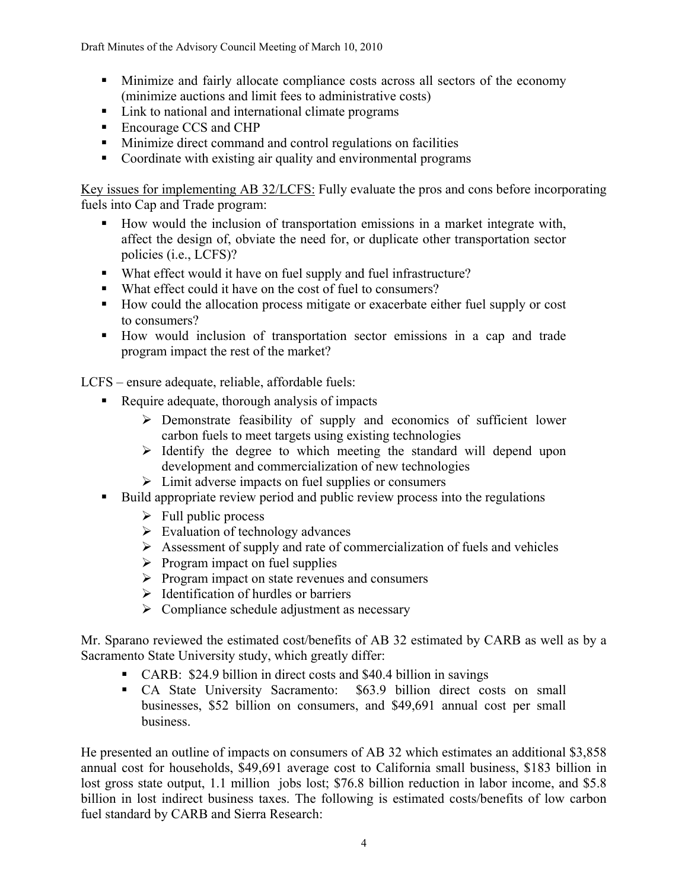Draft Minutes of the Advisory Council Meeting of March 10, 2010

- Minimize and fairly allocate compliance costs across all sectors of the economy (minimize auctions and limit fees to administrative costs)
- Link to national and international climate programs
- Encourage CCS and CHP
- **Minimize direct command and control regulations on facilities**
- Coordinate with existing air quality and environmental programs

Key issues for implementing AB 32/LCFS: Fully evaluate the pros and cons before incorporating fuels into Cap and Trade program:

- How would the inclusion of transportation emissions in a market integrate with, affect the design of, obviate the need for, or duplicate other transportation sector policies (i.e., LCFS)?
- What effect would it have on fuel supply and fuel infrastructure?
- What effect could it have on the cost of fuel to consumers?
- How could the allocation process mitigate or exacerbate either fuel supply or cost to consumers?
- How would inclusion of transportation sector emissions in a cap and trade program impact the rest of the market?

LCFS – ensure adequate, reliable, affordable fuels:

- Require adequate, thorough analysis of impacts
	- $\triangleright$  Demonstrate feasibility of supply and economics of sufficient lower carbon fuels to meet targets using existing technologies
	- $\triangleright$  Identify the degree to which meeting the standard will depend upon development and commercialization of new technologies
	- $\triangleright$  Limit adverse impacts on fuel supplies or consumers
- Build appropriate review period and public review process into the regulations
	- $\triangleright$  Full public process
	- $\triangleright$  Evaluation of technology advances
	- $\triangleright$  Assessment of supply and rate of commercialization of fuels and vehicles
	- $\triangleright$  Program impact on fuel supplies
	- $\triangleright$  Program impact on state revenues and consumers
	- $\triangleright$  Identification of hurdles or barriers
	- $\triangleright$  Compliance schedule adjustment as necessary

Mr. Sparano reviewed the estimated cost/benefits of AB 32 estimated by CARB as well as by a Sacramento State University study, which greatly differ:

- CARB: \$24.9 billion in direct costs and \$40.4 billion in savings
- CA State University Sacramento: \$63.9 billion direct costs on small businesses, \$52 billion on consumers, and \$49,691 annual cost per small business.

He presented an outline of impacts on consumers of AB 32 which estimates an additional \$3,858 annual cost for households, \$49,691 average cost to California small business, \$183 billion in lost gross state output, 1.1 million jobs lost; \$76.8 billion reduction in labor income, and \$5.8 billion in lost indirect business taxes. The following is estimated costs/benefits of low carbon fuel standard by CARB and Sierra Research: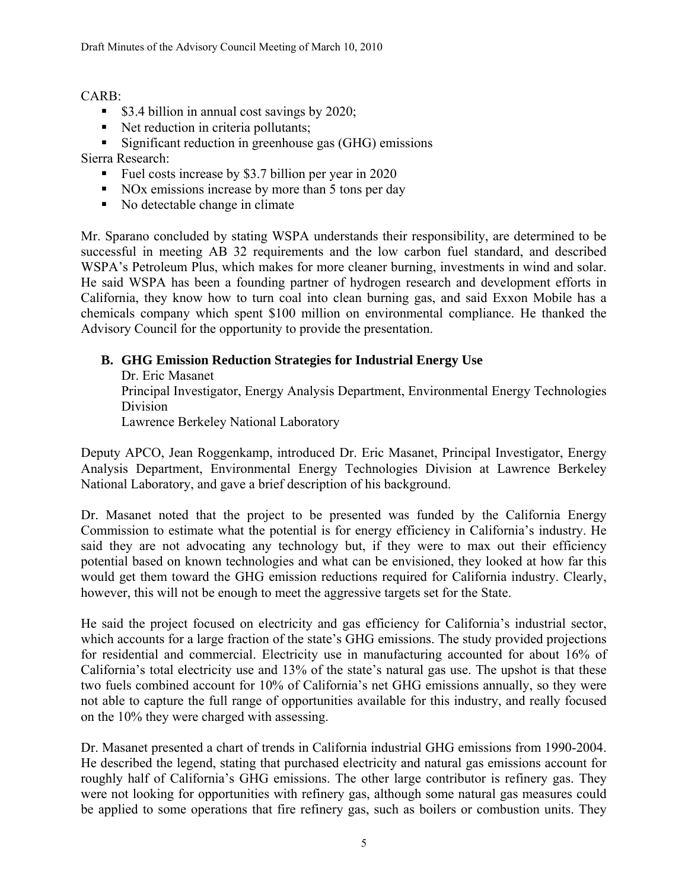CARB:

- $\bullet$  \$3.4 billion in annual cost savings by 2020;
- Net reduction in criteria pollutants;
- **Significant reduction in greenhouse gas (GHG) emissions**

Sierra Research:

- Fuel costs increase by \$3.7 billion per year in 2020
- NOx emissions increase by more than 5 tons per day
- No detectable change in climate

Mr. Sparano concluded by stating WSPA understands their responsibility, are determined to be successful in meeting AB 32 requirements and the low carbon fuel standard, and described WSPA's Petroleum Plus, which makes for more cleaner burning, investments in wind and solar. He said WSPA has been a founding partner of hydrogen research and development efforts in California, they know how to turn coal into clean burning gas, and said Exxon Mobile has a chemicals company which spent \$100 million on environmental compliance. He thanked the Advisory Council for the opportunity to provide the presentation.

# **B. GHG Emission Reduction Strategies for Industrial Energy Use**

Dr. Eric Masanet Principal Investigator, Energy Analysis Department, Environmental Energy Technologies Division Lawrence Berkeley National Laboratory

Deputy APCO, Jean Roggenkamp, introduced Dr. Eric Masanet, Principal Investigator, Energy Analysis Department, Environmental Energy Technologies Division at Lawrence Berkeley National Laboratory, and gave a brief description of his background.

Dr. Masanet noted that the project to be presented was funded by the California Energy Commission to estimate what the potential is for energy efficiency in California's industry. He said they are not advocating any technology but, if they were to max out their efficiency potential based on known technologies and what can be envisioned, they looked at how far this would get them toward the GHG emission reductions required for California industry. Clearly, however, this will not be enough to meet the aggressive targets set for the State.

He said the project focused on electricity and gas efficiency for California's industrial sector, which accounts for a large fraction of the state's GHG emissions. The study provided projections for residential and commercial. Electricity use in manufacturing accounted for about 16% of California's total electricity use and 13% of the state's natural gas use. The upshot is that these two fuels combined account for 10% of California's net GHG emissions annually, so they were not able to capture the full range of opportunities available for this industry, and really focused on the 10% they were charged with assessing.

Dr. Masanet presented a chart of trends in California industrial GHG emissions from 1990-2004. He described the legend, stating that purchased electricity and natural gas emissions account for roughly half of California's GHG emissions. The other large contributor is refinery gas. They were not looking for opportunities with refinery gas, although some natural gas measures could be applied to some operations that fire refinery gas, such as boilers or combustion units. They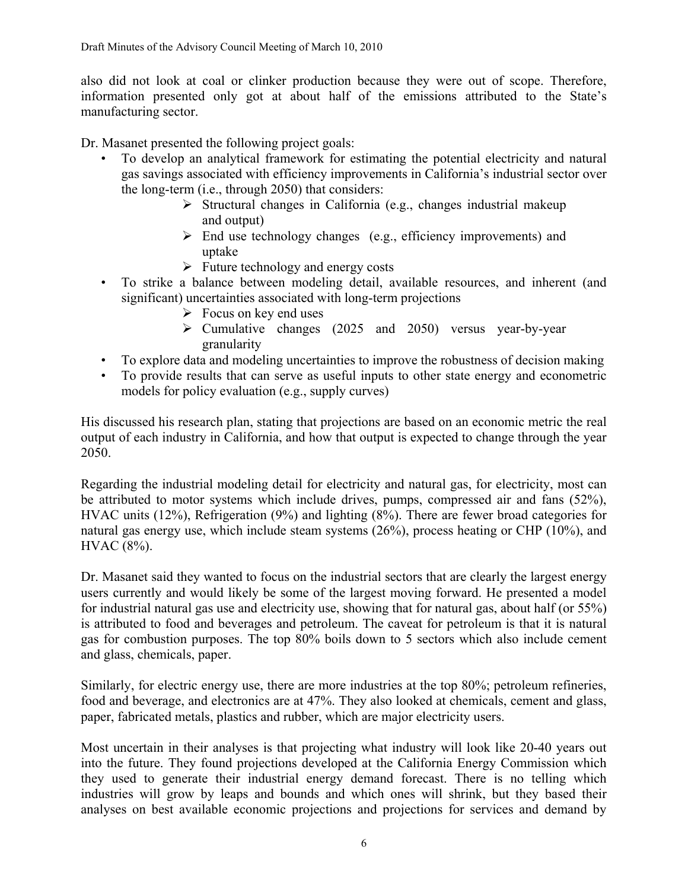also did not look at coal or clinker production because they were out of scope. Therefore, information presented only got at about half of the emissions attributed to the State's manufacturing sector.

Dr. Masanet presented the following project goals:

- To develop an analytical framework for estimating the potential electricity and natural gas savings associated with efficiency improvements in California's industrial sector over the long-term (i.e., through 2050) that considers:
	- $\triangleright$  Structural changes in California (e.g., changes industrial makeup and output)
	- $\triangleright$  End use technology changes (e.g., efficiency improvements) and uptake
	- $\triangleright$  Future technology and energy costs
- To strike a balance between modeling detail, available resources, and inherent (and significant) uncertainties associated with long-term projections
	- $\triangleright$  Focus on key end uses
	- $\triangleright$  Cumulative changes (2025 and 2050) versus year-by-year granularity
- To explore data and modeling uncertainties to improve the robustness of decision making
- To provide results that can serve as useful inputs to other state energy and econometric models for policy evaluation (e.g., supply curves)

His discussed his research plan, stating that projections are based on an economic metric the real output of each industry in California, and how that output is expected to change through the year 2050.

Regarding the industrial modeling detail for electricity and natural gas, for electricity, most can be attributed to motor systems which include drives, pumps, compressed air and fans (52%), HVAC units (12%), Refrigeration (9%) and lighting (8%). There are fewer broad categories for natural gas energy use, which include steam systems (26%), process heating or CHP (10%), and HVAC (8%).

Dr. Masanet said they wanted to focus on the industrial sectors that are clearly the largest energy users currently and would likely be some of the largest moving forward. He presented a model for industrial natural gas use and electricity use, showing that for natural gas, about half (or 55%) is attributed to food and beverages and petroleum. The caveat for petroleum is that it is natural gas for combustion purposes. The top 80% boils down to 5 sectors which also include cement and glass, chemicals, paper.

Similarly, for electric energy use, there are more industries at the top 80%; petroleum refineries, food and beverage, and electronics are at 47%. They also looked at chemicals, cement and glass, paper, fabricated metals, plastics and rubber, which are major electricity users.

Most uncertain in their analyses is that projecting what industry will look like 20-40 years out into the future. They found projections developed at the California Energy Commission which they used to generate their industrial energy demand forecast. There is no telling which industries will grow by leaps and bounds and which ones will shrink, but they based their analyses on best available economic projections and projections for services and demand by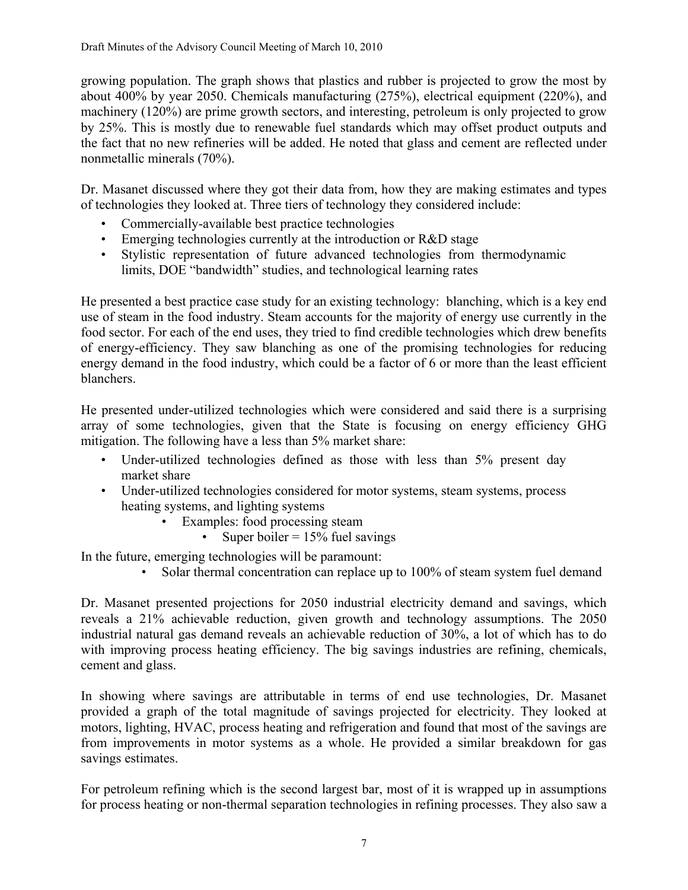growing population. The graph shows that plastics and rubber is projected to grow the most by about 400% by year 2050. Chemicals manufacturing (275%), electrical equipment (220%), and machinery (120%) are prime growth sectors, and interesting, petroleum is only projected to grow by 25%. This is mostly due to renewable fuel standards which may offset product outputs and the fact that no new refineries will be added. He noted that glass and cement are reflected under nonmetallic minerals (70%).

Dr. Masanet discussed where they got their data from, how they are making estimates and types of technologies they looked at. Three tiers of technology they considered include:

- Commercially-available best practice technologies
- Emerging technologies currently at the introduction or R&D stage
- Stylistic representation of future advanced technologies from thermodynamic limits, DOE "bandwidth" studies, and technological learning rates

He presented a best practice case study for an existing technology: blanching, which is a key end use of steam in the food industry. Steam accounts for the majority of energy use currently in the food sector. For each of the end uses, they tried to find credible technologies which drew benefits of energy-efficiency. They saw blanching as one of the promising technologies for reducing energy demand in the food industry, which could be a factor of 6 or more than the least efficient blanchers.

He presented under-utilized technologies which were considered and said there is a surprising array of some technologies, given that the State is focusing on energy efficiency GHG mitigation. The following have a less than 5% market share:

- Under-utilized technologies defined as those with less than 5% present day market share
- Under-utilized technologies considered for motor systems, steam systems, process heating systems, and lighting systems
	- Examples: food processing steam
		- Super boiler  $= 15\%$  fuel savings

In the future, emerging technologies will be paramount:

• Solar thermal concentration can replace up to 100% of steam system fuel demand

Dr. Masanet presented projections for 2050 industrial electricity demand and savings, which reveals a 21% achievable reduction, given growth and technology assumptions. The 2050 industrial natural gas demand reveals an achievable reduction of 30%, a lot of which has to do with improving process heating efficiency. The big savings industries are refining, chemicals, cement and glass.

In showing where savings are attributable in terms of end use technologies, Dr. Masanet provided a graph of the total magnitude of savings projected for electricity. They looked at motors, lighting, HVAC, process heating and refrigeration and found that most of the savings are from improvements in motor systems as a whole. He provided a similar breakdown for gas savings estimates.

For petroleum refining which is the second largest bar, most of it is wrapped up in assumptions for process heating or non-thermal separation technologies in refining processes. They also saw a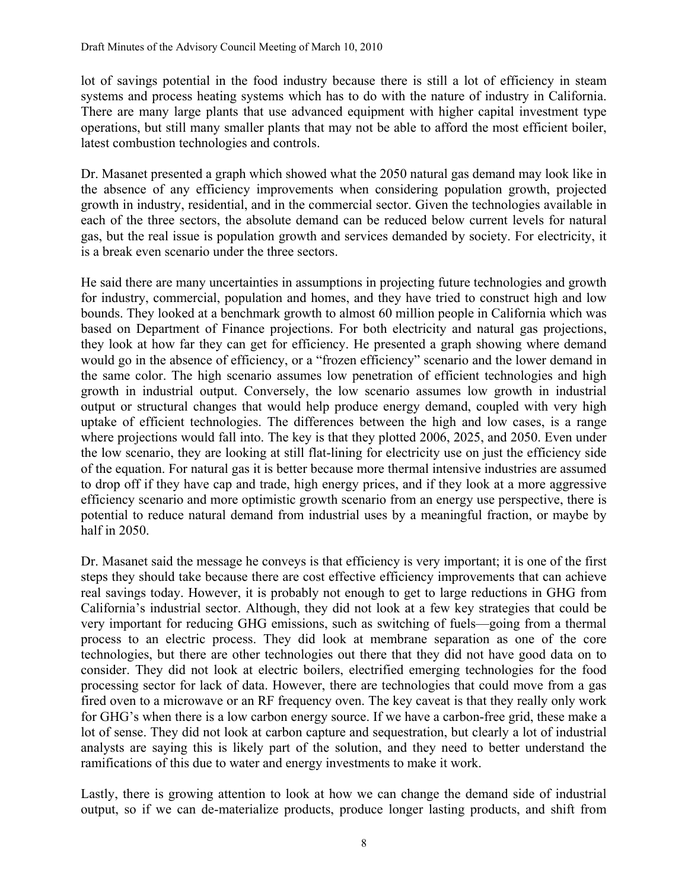lot of savings potential in the food industry because there is still a lot of efficiency in steam systems and process heating systems which has to do with the nature of industry in California. There are many large plants that use advanced equipment with higher capital investment type operations, but still many smaller plants that may not be able to afford the most efficient boiler, latest combustion technologies and controls.

Dr. Masanet presented a graph which showed what the 2050 natural gas demand may look like in the absence of any efficiency improvements when considering population growth, projected growth in industry, residential, and in the commercial sector. Given the technologies available in each of the three sectors, the absolute demand can be reduced below current levels for natural gas, but the real issue is population growth and services demanded by society. For electricity, it is a break even scenario under the three sectors.

He said there are many uncertainties in assumptions in projecting future technologies and growth for industry, commercial, population and homes, and they have tried to construct high and low bounds. They looked at a benchmark growth to almost 60 million people in California which was based on Department of Finance projections. For both electricity and natural gas projections, they look at how far they can get for efficiency. He presented a graph showing where demand would go in the absence of efficiency, or a "frozen efficiency" scenario and the lower demand in the same color. The high scenario assumes low penetration of efficient technologies and high growth in industrial output. Conversely, the low scenario assumes low growth in industrial output or structural changes that would help produce energy demand, coupled with very high uptake of efficient technologies. The differences between the high and low cases, is a range where projections would fall into. The key is that they plotted 2006, 2025, and 2050. Even under the low scenario, they are looking at still flat-lining for electricity use on just the efficiency side of the equation. For natural gas it is better because more thermal intensive industries are assumed to drop off if they have cap and trade, high energy prices, and if they look at a more aggressive efficiency scenario and more optimistic growth scenario from an energy use perspective, there is potential to reduce natural demand from industrial uses by a meaningful fraction, or maybe by half in 2050.

Dr. Masanet said the message he conveys is that efficiency is very important; it is one of the first steps they should take because there are cost effective efficiency improvements that can achieve real savings today. However, it is probably not enough to get to large reductions in GHG from California's industrial sector. Although, they did not look at a few key strategies that could be very important for reducing GHG emissions, such as switching of fuels—going from a thermal process to an electric process. They did look at membrane separation as one of the core technologies, but there are other technologies out there that they did not have good data on to consider. They did not look at electric boilers, electrified emerging technologies for the food processing sector for lack of data. However, there are technologies that could move from a gas fired oven to a microwave or an RF frequency oven. The key caveat is that they really only work for GHG's when there is a low carbon energy source. If we have a carbon-free grid, these make a lot of sense. They did not look at carbon capture and sequestration, but clearly a lot of industrial analysts are saying this is likely part of the solution, and they need to better understand the ramifications of this due to water and energy investments to make it work.

Lastly, there is growing attention to look at how we can change the demand side of industrial output, so if we can de-materialize products, produce longer lasting products, and shift from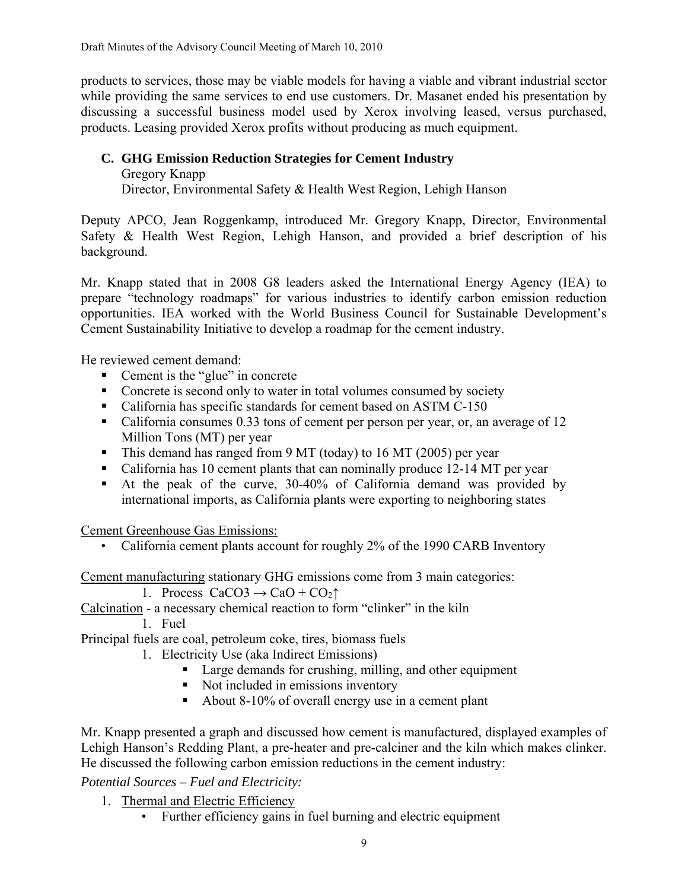products to services, those may be viable models for having a viable and vibrant industrial sector while providing the same services to end use customers. Dr. Masanet ended his presentation by discussing a successful business model used by Xerox involving leased, versus purchased, products. Leasing provided Xerox profits without producing as much equipment.

# **C. GHG Emission Reduction Strategies for Cement Industry**

Gregory Knapp

Director, Environmental Safety & Health West Region, Lehigh Hanson

Deputy APCO, Jean Roggenkamp, introduced Mr. Gregory Knapp, Director, Environmental Safety & Health West Region, Lehigh Hanson, and provided a brief description of his background.

Mr. Knapp stated that in 2008 G8 leaders asked the International Energy Agency (IEA) to prepare "technology roadmaps" for various industries to identify carbon emission reduction opportunities. IEA worked with the World Business Council for Sustainable Development's Cement Sustainability Initiative to develop a roadmap for the cement industry.

He reviewed cement demand:

- Cement is the "glue" in concrete
- Concrete is second only to water in total volumes consumed by society
- California has specific standards for cement based on ASTM C-150
- California consumes 0.33 tons of cement per person per year, or, an average of 12 Million Tons (MT) per year
- This demand has ranged from 9 MT (today) to 16 MT (2005) per year
- California has 10 cement plants that can nominally produce 12-14 MT per year
- At the peak of the curve, 30-40% of California demand was provided by international imports, as California plants were exporting to neighboring states

Cement Greenhouse Gas Emissions:

• California cement plants account for roughly 2% of the 1990 CARB Inventory

Cement manufacturing stationary GHG emissions come from 3 main categories:

- 1. Process  $CaCO3 \rightarrow CaO + CO_2\uparrow$
- Calcination a necessary chemical reaction to form "clinker" in the kiln

1. Fuel

Principal fuels are coal, petroleum coke, tires, biomass fuels

- 1. Electricity Use (aka Indirect Emissions)
	- Large demands for crushing, milling, and other equipment
	- Not included in emissions inventory
	- About 8-10% of overall energy use in a cement plant

Mr. Knapp presented a graph and discussed how cement is manufactured, displayed examples of Lehigh Hanson's Redding Plant, a pre-heater and pre-calciner and the kiln which makes clinker. He discussed the following carbon emission reductions in the cement industry:

*Potential Sources – Fuel and Electricity:* 

- 1. Thermal and Electric Efficiency
	- Further efficiency gains in fuel burning and electric equipment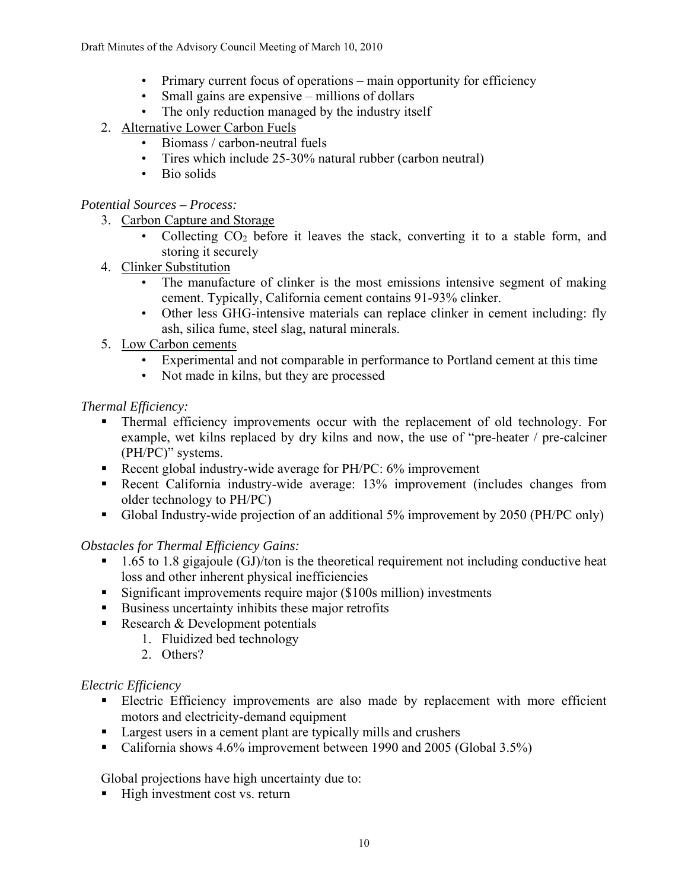- Primary current focus of operations main opportunity for efficiency
- Small gains are expensive millions of dollars
- The only reduction managed by the industry itself
- 2. Alternative Lower Carbon Fuels
	- Biomass / carbon-neutral fuels
	- Tires which include 25-30% natural rubber (carbon neutral)
	- Bio solids

# *Potential Sources – Process:*

- 3. Carbon Capture and Storage
	- Collecting  $CO<sub>2</sub>$  before it leaves the stack, converting it to a stable form, and storing it securely
- 4. Clinker Substitution
	- The manufacture of clinker is the most emissions intensive segment of making cement. Typically, California cement contains 91-93% clinker.
	- Other less GHG-intensive materials can replace clinker in cement including: fly ash, silica fume, steel slag, natural minerals.
- 5. Low Carbon cements
	- Experimental and not comparable in performance to Portland cement at this time
	- Not made in kilns, but they are processed

# *Thermal Efficiency:*

- Thermal efficiency improvements occur with the replacement of old technology. For example, wet kilns replaced by dry kilns and now, the use of "pre-heater / pre-calciner (PH/PC)" systems.
- Recent global industry-wide average for PH/PC: 6% improvement
- Recent California industry-wide average: 13% improvement (includes changes from older technology to PH/PC)
- Global Industry-wide projection of an additional 5% improvement by 2050 (PH/PC only)

# *Obstacles for Thermal Efficiency Gains:*

- $\blacksquare$  1.65 to 1.8 gigajoule (GJ)/ton is the theoretical requirement not including conductive heat loss and other inherent physical inefficiencies
- Significant improvements require major (\$100s million) investments
- Business uncertainty inhibits these major retrofits
- Research  $&$  Development potentials
	- 1. Fluidized bed technology
	- 2. Others?

# *Electric Efficiency*

- Electric Efficiency improvements are also made by replacement with more efficient motors and electricity-demand equipment
- Largest users in a cement plant are typically mills and crushers
- California shows 4.6% improvement between 1990 and 2005 (Global 3.5%)

Global projections have high uncertainty due to:

 $\blacksquare$  High investment cost vs. return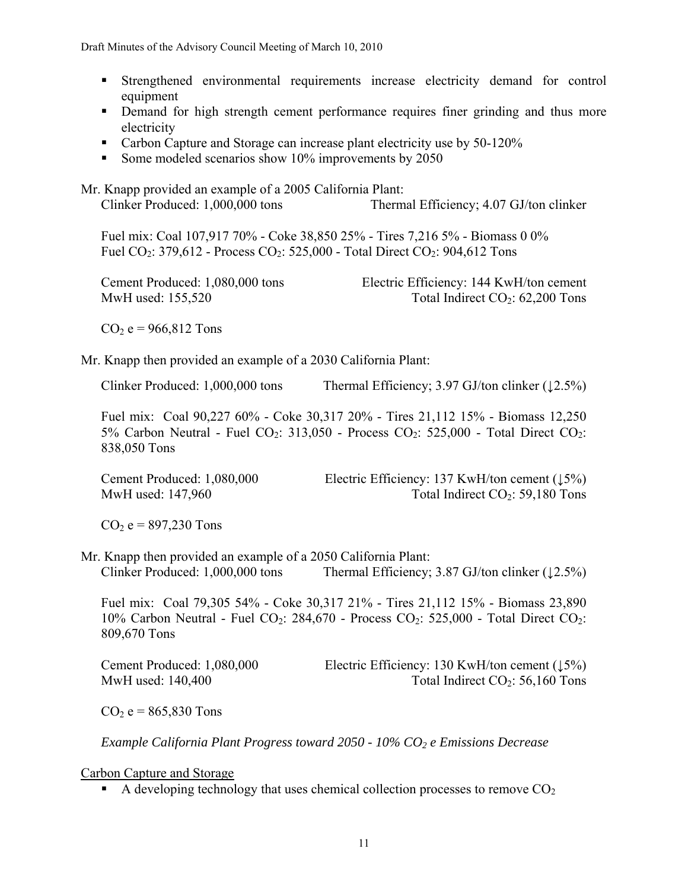- Strengthened environmental requirements increase electricity demand for control equipment
- Demand for high strength cement performance requires finer grinding and thus more electricity
- Carbon Capture and Storage can increase plant electricity use by 50-120%
- Some modeled scenarios show 10% improvements by 2050

Mr. Knapp provided an example of a 2005 California Plant: Clinker Produced: 1,000,000 tons Thermal Efficiency; 4.07 GJ/ton clinker Fuel mix: Coal 107,917 70% - Coke 38,850 25% - Tires 7,216 5% - Biomass 0 0% Fuel CO<sub>2</sub>: 379,612 - Process CO<sub>2</sub>: 525,000 - Total Direct CO<sub>2</sub>: 904,612 Tons Cement Produced: 1,080,000 tons Electric Efficiency: 144 KwH/ton cement MwH used:  $155,520$  Total Indirect  $CO<sub>2</sub>$ :  $62,200$  Tons  $CO<sub>2</sub> e = 966,812$  Tons Mr. Knapp then provided an example of a 2030 California Plant: Clinker Produced: 1,000,000 tons Thermal Efficiency; 3.97 GJ/ton clinker ( $\downarrow$ 2.5%) Fuel mix: Coal 90,227 60% - Coke 30,317 20% - Tires 21,112 15% - Biomass 12,250 5% Carbon Neutral - Fuel CO<sub>2</sub>: 313,050 - Process CO<sub>2</sub>: 525,000 - Total Direct CO<sub>2</sub>: 838,050 Tons Cement Produced: 1,080,000 Electric Efficiency: 137 KwH/ton cement (↓5%) MwH used:  $147,960$  Total Indirect  $CO<sub>2</sub>$ : 59,180 Tons  $CO<sub>2</sub> e = 897,230$  Tons Mr. Knapp then provided an example of a 2050 California Plant: Clinker Produced:  $1,000,000$  tons Thermal Efficiency; 3.87 GJ/ton clinker  $(12.5%)$ Fuel mix: Coal 79,305 54% - Coke 30,317 21% - Tires 21,112 15% - Biomass 23,890 10% Carbon Neutral - Fuel CO<sub>2</sub>: 284,670 - Process CO<sub>2</sub>: 525,000 - Total Direct CO<sub>2</sub>: 809,670 Tons

Cement Produced: 1,080,000 Electric Efficiency: 130 KwH/ton cement (↓5%) MwH used:  $140,400$  Total Indirect  $CO<sub>2</sub>$ : 56,160 Tons

 $CO<sub>2</sub> = 865,830$  Tons

*Example California Plant Progress toward 2050 - 10% CO2 e Emissions Decrease* 

Carbon Capture and Storage

A developing technology that uses chemical collection processes to remove  $CO<sub>2</sub>$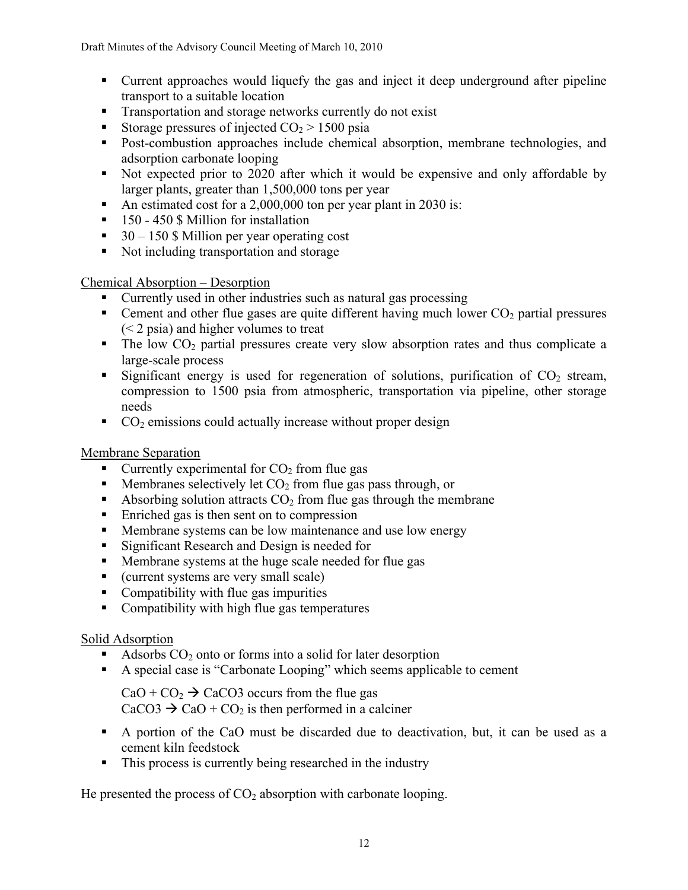Draft Minutes of the Advisory Council Meeting of March 10, 2010

- Current approaches would liquefy the gas and inject it deep underground after pipeline transport to a suitable location
- **Transportation and storage networks currently do not exist**
- Storage pressures of injected  $CO<sub>2</sub> > 1500$  psia
- Post-combustion approaches include chemical absorption, membrane technologies, and adsorption carbonate looping
- Not expected prior to 2020 after which it would be expensive and only affordable by larger plants, greater than 1,500,000 tons per year
- An estimated cost for a 2,000,000 ton per year plant in 2030 is:
- 150 450 \$ Million for installation
- $\approx$  30 150 \$ Million per year operating cost
- Not including transportation and storage

Chemical Absorption – Desorption

- Currently used in other industries such as natural gas processing
- **Cement and other flue gases are quite different having much lower**  $CO<sub>2</sub>$  **partial pressures** (< 2 psia) and higher volumes to treat
- $\blacksquare$  The low CO<sub>2</sub> partial pressures create very slow absorption rates and thus complicate a large-scale process
- Significant energy is used for regeneration of solutions, purification of  $CO<sub>2</sub>$  stream, compression to 1500 psia from atmospheric, transportation via pipeline, other storage needs
- $CO<sub>2</sub>$  emissions could actually increase without proper design

# Membrane Separation

- Currently experimental for  $CO<sub>2</sub>$  from flue gas
- $\blacksquare$  Membranes selectively let  $CO<sub>2</sub>$  from flue gas pass through, or
- Absorbing solution attracts  $CO<sub>2</sub>$  from flue gas through the membrane
- Enriched gas is then sent on to compression
- **Membrane systems can be low maintenance and use low energy**
- **Significant Research and Design is needed for**
- **Membrane systems at the huge scale needed for flue gas**
- (current systems are very small scale)
- Compatibility with flue gas impurities
- Compatibility with high flue gas temperatures

# Solid Adsorption

- Adsorbs  $CO<sub>2</sub>$  onto or forms into a solid for later desorption
- A special case is "Carbonate Looping" which seems applicable to cement

 $CaO + CO<sub>2</sub> \rightarrow CaCO3$  occurs from the flue gas  $CaCO3 \rightarrow CaO + CO_2$  is then performed in a calciner

- A portion of the CaO must be discarded due to deactivation, but, it can be used as a cement kiln feedstock
- This process is currently being researched in the industry

He presented the process of  $CO<sub>2</sub>$  absorption with carbonate looping.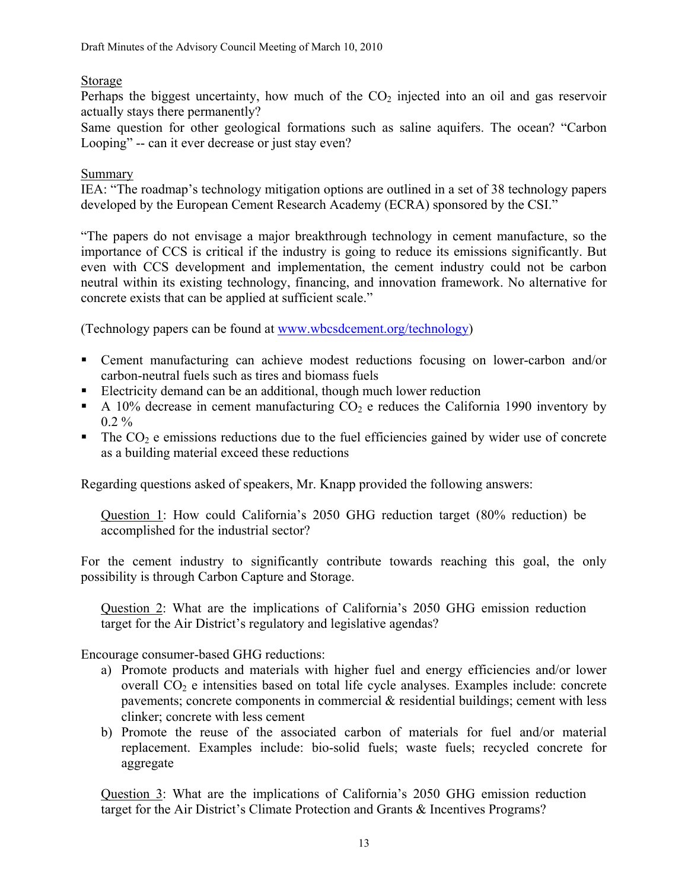# Storage

Perhaps the biggest uncertainty, how much of the  $CO<sub>2</sub>$  injected into an oil and gas reservoir actually stays there permanently?

Same question for other geological formations such as saline aquifers. The ocean? "Carbon Looping" -- can it ever decrease or just stay even?

#### Summary

IEA: "The roadmap's technology mitigation options are outlined in a set of 38 technology papers developed by the European Cement Research Academy (ECRA) sponsored by the CSI."

"The papers do not envisage a major breakthrough technology in cement manufacture, so the importance of CCS is critical if the industry is going to reduce its emissions significantly. But even with CCS development and implementation, the cement industry could not be carbon neutral within its existing technology, financing, and innovation framework. No alternative for concrete exists that can be applied at sufficient scale."

(Technology papers can be found at [www.wbcsdcement.org/technology](http://www.wbcsdcement.org/technology))

- Cement manufacturing can achieve modest reductions focusing on lower-carbon and/or carbon-neutral fuels such as tires and biomass fuels
- Electricity demand can be an additional, though much lower reduction
- A 10% decrease in cement manufacturing  $CO<sub>2</sub>$  e reduces the California 1990 inventory by  $0.2 \%$
- $\blacksquare$  The CO<sub>2</sub> e emissions reductions due to the fuel efficiencies gained by wider use of concrete as a building material exceed these reductions

Regarding questions asked of speakers, Mr. Knapp provided the following answers:

Question 1: How could California's 2050 GHG reduction target (80% reduction) be accomplished for the industrial sector?

For the cement industry to significantly contribute towards reaching this goal, the only possibility is through Carbon Capture and Storage.

Question 2: What are the implications of California's 2050 GHG emission reduction target for the Air District's regulatory and legislative agendas?

Encourage consumer-based GHG reductions:

- a) Promote products and materials with higher fuel and energy efficiencies and/or lower overall  $CO<sub>2</sub>$  e intensities based on total life cycle analyses. Examples include: concrete pavements; concrete components in commercial & residential buildings; cement with less clinker; concrete with less cement
- b) Promote the reuse of the associated carbon of materials for fuel and/or material replacement. Examples include: bio-solid fuels; waste fuels; recycled concrete for aggregate

Question 3: What are the implications of California's 2050 GHG emission reduction target for the Air District's Climate Protection and Grants & Incentives Programs?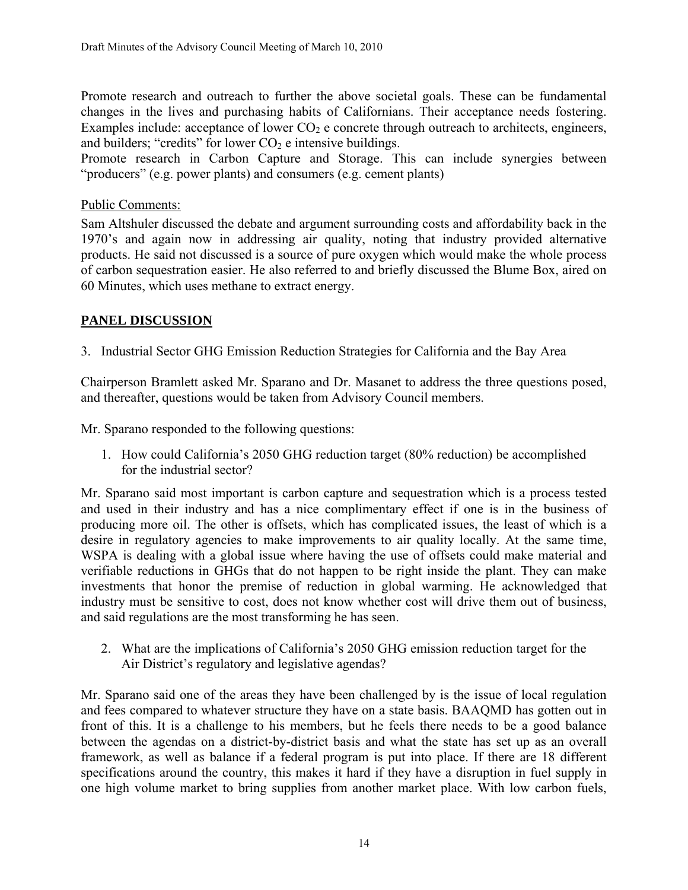Promote research and outreach to further the above societal goals. These can be fundamental changes in the lives and purchasing habits of Californians. Their acceptance needs fostering. Examples include: acceptance of lower  $CO<sub>2</sub>$  e concrete through outreach to architects, engineers, and builders; "credits" for lower  $CO<sub>2</sub>$  e intensive buildings.

Promote research in Carbon Capture and Storage. This can include synergies between "producers" (e.g. power plants) and consumers (e.g. cement plants)

# Public Comments:

Sam Altshuler discussed the debate and argument surrounding costs and affordability back in the 1970's and again now in addressing air quality, noting that industry provided alternative products. He said not discussed is a source of pure oxygen which would make the whole process of carbon sequestration easier. He also referred to and briefly discussed the Blume Box, aired on 60 Minutes, which uses methane to extract energy.

# **PANEL DISCUSSION**

3. Industrial Sector GHG Emission Reduction Strategies for California and the Bay Area

Chairperson Bramlett asked Mr. Sparano and Dr. Masanet to address the three questions posed, and thereafter, questions would be taken from Advisory Council members.

Mr. Sparano responded to the following questions:

1. How could California's 2050 GHG reduction target (80% reduction) be accomplished for the industrial sector?

Mr. Sparano said most important is carbon capture and sequestration which is a process tested and used in their industry and has a nice complimentary effect if one is in the business of producing more oil. The other is offsets, which has complicated issues, the least of which is a desire in regulatory agencies to make improvements to air quality locally. At the same time, WSPA is dealing with a global issue where having the use of offsets could make material and verifiable reductions in GHGs that do not happen to be right inside the plant. They can make investments that honor the premise of reduction in global warming. He acknowledged that industry must be sensitive to cost, does not know whether cost will drive them out of business, and said regulations are the most transforming he has seen.

2. What are the implications of California's 2050 GHG emission reduction target for the Air District's regulatory and legislative agendas?

Mr. Sparano said one of the areas they have been challenged by is the issue of local regulation and fees compared to whatever structure they have on a state basis. BAAQMD has gotten out in front of this. It is a challenge to his members, but he feels there needs to be a good balance between the agendas on a district-by-district basis and what the state has set up as an overall framework, as well as balance if a federal program is put into place. If there are 18 different specifications around the country, this makes it hard if they have a disruption in fuel supply in one high volume market to bring supplies from another market place. With low carbon fuels,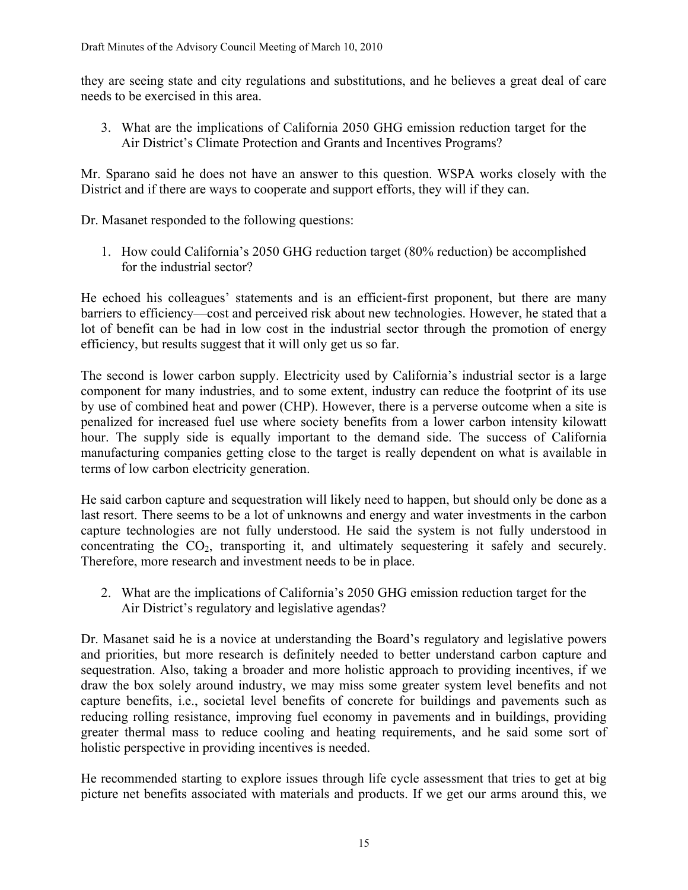they are seeing state and city regulations and substitutions, and he believes a great deal of care needs to be exercised in this area.

3. What are the implications of California 2050 GHG emission reduction target for the Air District's Climate Protection and Grants and Incentives Programs?

Mr. Sparano said he does not have an answer to this question. WSPA works closely with the District and if there are ways to cooperate and support efforts, they will if they can.

Dr. Masanet responded to the following questions:

1. How could California's 2050 GHG reduction target (80% reduction) be accomplished for the industrial sector?

He echoed his colleagues' statements and is an efficient-first proponent, but there are many barriers to efficiency—cost and perceived risk about new technologies. However, he stated that a lot of benefit can be had in low cost in the industrial sector through the promotion of energy efficiency, but results suggest that it will only get us so far.

The second is lower carbon supply. Electricity used by California's industrial sector is a large component for many industries, and to some extent, industry can reduce the footprint of its use by use of combined heat and power (CHP). However, there is a perverse outcome when a site is penalized for increased fuel use where society benefits from a lower carbon intensity kilowatt hour. The supply side is equally important to the demand side. The success of California manufacturing companies getting close to the target is really dependent on what is available in terms of low carbon electricity generation.

He said carbon capture and sequestration will likely need to happen, but should only be done as a last resort. There seems to be a lot of unknowns and energy and water investments in the carbon capture technologies are not fully understood. He said the system is not fully understood in concentrating the  $CO<sub>2</sub>$ , transporting it, and ultimately sequestering it safely and securely. Therefore, more research and investment needs to be in place.

2. What are the implications of California's 2050 GHG emission reduction target for the Air District's regulatory and legislative agendas?

Dr. Masanet said he is a novice at understanding the Board's regulatory and legislative powers and priorities, but more research is definitely needed to better understand carbon capture and sequestration. Also, taking a broader and more holistic approach to providing incentives, if we draw the box solely around industry, we may miss some greater system level benefits and not capture benefits, i.e., societal level benefits of concrete for buildings and pavements such as reducing rolling resistance, improving fuel economy in pavements and in buildings, providing greater thermal mass to reduce cooling and heating requirements, and he said some sort of holistic perspective in providing incentives is needed.

He recommended starting to explore issues through life cycle assessment that tries to get at big picture net benefits associated with materials and products. If we get our arms around this, we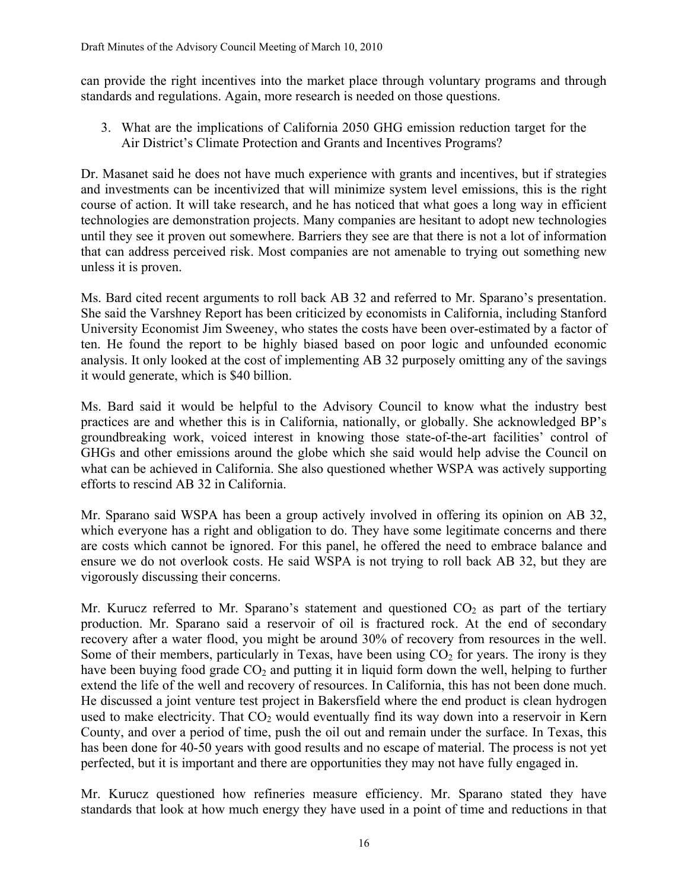can provide the right incentives into the market place through voluntary programs and through standards and regulations. Again, more research is needed on those questions.

3. What are the implications of California 2050 GHG emission reduction target for the Air District's Climate Protection and Grants and Incentives Programs?

Dr. Masanet said he does not have much experience with grants and incentives, but if strategies and investments can be incentivized that will minimize system level emissions, this is the right course of action. It will take research, and he has noticed that what goes a long way in efficient technologies are demonstration projects. Many companies are hesitant to adopt new technologies until they see it proven out somewhere. Barriers they see are that there is not a lot of information that can address perceived risk. Most companies are not amenable to trying out something new unless it is proven.

Ms. Bard cited recent arguments to roll back AB 32 and referred to Mr. Sparano's presentation. She said the Varshney Report has been criticized by economists in California, including Stanford University Economist Jim Sweeney, who states the costs have been over-estimated by a factor of ten. He found the report to be highly biased based on poor logic and unfounded economic analysis. It only looked at the cost of implementing AB 32 purposely omitting any of the savings it would generate, which is \$40 billion.

Ms. Bard said it would be helpful to the Advisory Council to know what the industry best practices are and whether this is in California, nationally, or globally. She acknowledged BP's groundbreaking work, voiced interest in knowing those state-of-the-art facilities' control of GHGs and other emissions around the globe which she said would help advise the Council on what can be achieved in California. She also questioned whether WSPA was actively supporting efforts to rescind AB 32 in California.

Mr. Sparano said WSPA has been a group actively involved in offering its opinion on AB 32, which everyone has a right and obligation to do. They have some legitimate concerns and there are costs which cannot be ignored. For this panel, he offered the need to embrace balance and ensure we do not overlook costs. He said WSPA is not trying to roll back AB 32, but they are vigorously discussing their concerns.

Mr. Kurucz referred to Mr. Sparano's statement and questioned  $CO<sub>2</sub>$  as part of the tertiary production. Mr. Sparano said a reservoir of oil is fractured rock. At the end of secondary recovery after a water flood, you might be around 30% of recovery from resources in the well. Some of their members, particularly in Texas, have been using  $CO<sub>2</sub>$  for years. The irony is they have been buying food grade  $CO<sub>2</sub>$  and putting it in liquid form down the well, helping to further extend the life of the well and recovery of resources. In California, this has not been done much. He discussed a joint venture test project in Bakersfield where the end product is clean hydrogen used to make electricity. That  $CO<sub>2</sub>$  would eventually find its way down into a reservoir in Kern County, and over a period of time, push the oil out and remain under the surface. In Texas, this has been done for 40-50 years with good results and no escape of material. The process is not yet perfected, but it is important and there are opportunities they may not have fully engaged in.

Mr. Kurucz questioned how refineries measure efficiency. Mr. Sparano stated they have standards that look at how much energy they have used in a point of time and reductions in that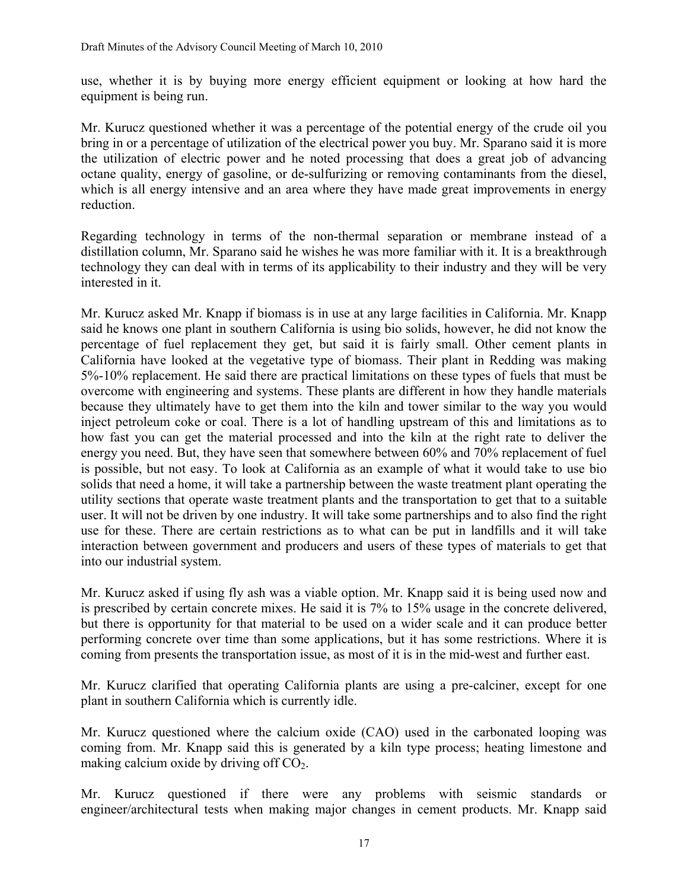use, whether it is by buying more energy efficient equipment or looking at how hard the equipment is being run.

Mr. Kurucz questioned whether it was a percentage of the potential energy of the crude oil you bring in or a percentage of utilization of the electrical power you buy. Mr. Sparano said it is more the utilization of electric power and he noted processing that does a great job of advancing octane quality, energy of gasoline, or de-sulfurizing or removing contaminants from the diesel, which is all energy intensive and an area where they have made great improvements in energy reduction.

Regarding technology in terms of the non-thermal separation or membrane instead of a distillation column, Mr. Sparano said he wishes he was more familiar with it. It is a breakthrough technology they can deal with in terms of its applicability to their industry and they will be very interested in it.

Mr. Kurucz asked Mr. Knapp if biomass is in use at any large facilities in California. Mr. Knapp said he knows one plant in southern California is using bio solids, however, he did not know the percentage of fuel replacement they get, but said it is fairly small. Other cement plants in California have looked at the vegetative type of biomass. Their plant in Redding was making 5%-10% replacement. He said there are practical limitations on these types of fuels that must be overcome with engineering and systems. These plants are different in how they handle materials because they ultimately have to get them into the kiln and tower similar to the way you would inject petroleum coke or coal. There is a lot of handling upstream of this and limitations as to how fast you can get the material processed and into the kiln at the right rate to deliver the energy you need. But, they have seen that somewhere between 60% and 70% replacement of fuel is possible, but not easy. To look at California as an example of what it would take to use bio solids that need a home, it will take a partnership between the waste treatment plant operating the utility sections that operate waste treatment plants and the transportation to get that to a suitable user. It will not be driven by one industry. It will take some partnerships and to also find the right use for these. There are certain restrictions as to what can be put in landfills and it will take interaction between government and producers and users of these types of materials to get that into our industrial system.

Mr. Kurucz asked if using fly ash was a viable option. Mr. Knapp said it is being used now and is prescribed by certain concrete mixes. He said it is 7% to 15% usage in the concrete delivered, but there is opportunity for that material to be used on a wider scale and it can produce better performing concrete over time than some applications, but it has some restrictions. Where it is coming from presents the transportation issue, as most of it is in the mid-west and further east.

Mr. Kurucz clarified that operating California plants are using a pre-calciner, except for one plant in southern California which is currently idle.

Mr. Kurucz questioned where the calcium oxide (CAO) used in the carbonated looping was coming from. Mr. Knapp said this is generated by a kiln type process; heating limestone and making calcium oxide by driving off  $CO<sub>2</sub>$ .

Mr. Kurucz questioned if there were any problems with seismic standards or engineer/architectural tests when making major changes in cement products. Mr. Knapp said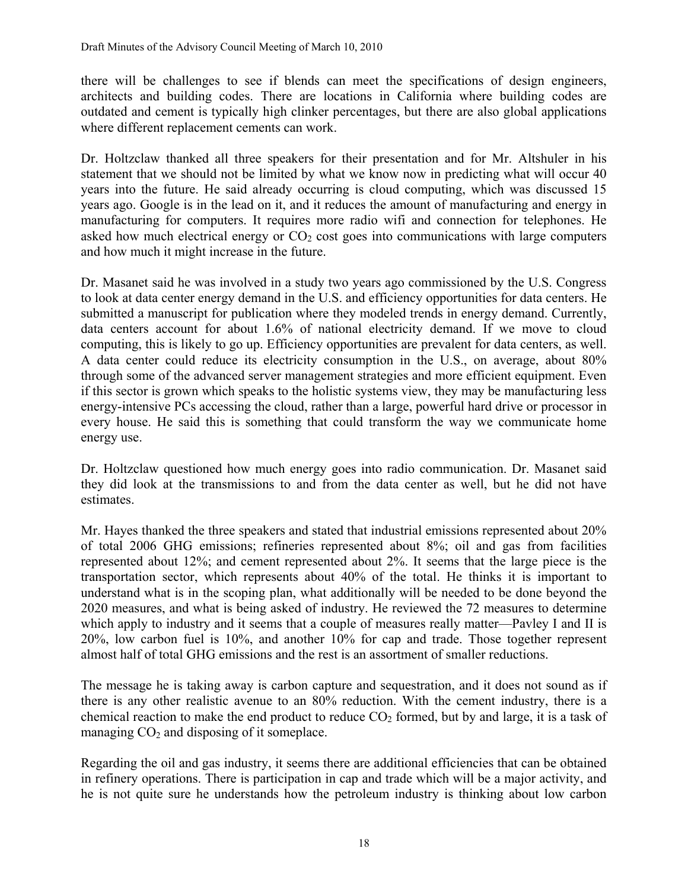there will be challenges to see if blends can meet the specifications of design engineers, architects and building codes. There are locations in California where building codes are outdated and cement is typically high clinker percentages, but there are also global applications where different replacement cements can work.

Dr. Holtzclaw thanked all three speakers for their presentation and for Mr. Altshuler in his statement that we should not be limited by what we know now in predicting what will occur 40 years into the future. He said already occurring is cloud computing, which was discussed 15 years ago. Google is in the lead on it, and it reduces the amount of manufacturing and energy in manufacturing for computers. It requires more radio wifi and connection for telephones. He asked how much electrical energy or  $CO<sub>2</sub>$  cost goes into communications with large computers and how much it might increase in the future.

Dr. Masanet said he was involved in a study two years ago commissioned by the U.S. Congress to look at data center energy demand in the U.S. and efficiency opportunities for data centers. He submitted a manuscript for publication where they modeled trends in energy demand. Currently, data centers account for about 1.6% of national electricity demand. If we move to cloud computing, this is likely to go up. Efficiency opportunities are prevalent for data centers, as well. A data center could reduce its electricity consumption in the U.S., on average, about 80% through some of the advanced server management strategies and more efficient equipment. Even if this sector is grown which speaks to the holistic systems view, they may be manufacturing less energy-intensive PCs accessing the cloud, rather than a large, powerful hard drive or processor in every house. He said this is something that could transform the way we communicate home energy use.

Dr. Holtzclaw questioned how much energy goes into radio communication. Dr. Masanet said they did look at the transmissions to and from the data center as well, but he did not have estimates.

Mr. Hayes thanked the three speakers and stated that industrial emissions represented about 20% of total 2006 GHG emissions; refineries represented about 8%; oil and gas from facilities represented about 12%; and cement represented about 2%. It seems that the large piece is the transportation sector, which represents about 40% of the total. He thinks it is important to understand what is in the scoping plan, what additionally will be needed to be done beyond the 2020 measures, and what is being asked of industry. He reviewed the 72 measures to determine which apply to industry and it seems that a couple of measures really matter—Pavley I and II is 20%, low carbon fuel is 10%, and another 10% for cap and trade. Those together represent almost half of total GHG emissions and the rest is an assortment of smaller reductions.

The message he is taking away is carbon capture and sequestration, and it does not sound as if there is any other realistic avenue to an 80% reduction. With the cement industry, there is a chemical reaction to make the end product to reduce  $CO<sub>2</sub>$  formed, but by and large, it is a task of managing  $CO<sub>2</sub>$  and disposing of it someplace.

Regarding the oil and gas industry, it seems there are additional efficiencies that can be obtained in refinery operations. There is participation in cap and trade which will be a major activity, and he is not quite sure he understands how the petroleum industry is thinking about low carbon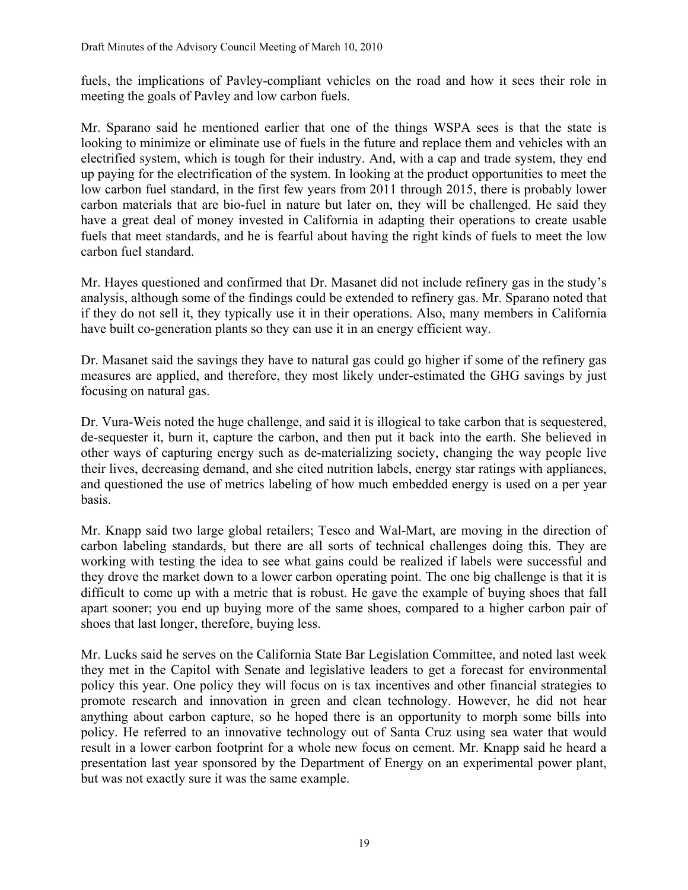fuels, the implications of Pavley-compliant vehicles on the road and how it sees their role in meeting the goals of Pavley and low carbon fuels.

Mr. Sparano said he mentioned earlier that one of the things WSPA sees is that the state is looking to minimize or eliminate use of fuels in the future and replace them and vehicles with an electrified system, which is tough for their industry. And, with a cap and trade system, they end up paying for the electrification of the system. In looking at the product opportunities to meet the low carbon fuel standard, in the first few years from 2011 through 2015, there is probably lower carbon materials that are bio-fuel in nature but later on, they will be challenged. He said they have a great deal of money invested in California in adapting their operations to create usable fuels that meet standards, and he is fearful about having the right kinds of fuels to meet the low carbon fuel standard.

Mr. Hayes questioned and confirmed that Dr. Masanet did not include refinery gas in the study's analysis, although some of the findings could be extended to refinery gas. Mr. Sparano noted that if they do not sell it, they typically use it in their operations. Also, many members in California have built co-generation plants so they can use it in an energy efficient way.

Dr. Masanet said the savings they have to natural gas could go higher if some of the refinery gas measures are applied, and therefore, they most likely under-estimated the GHG savings by just focusing on natural gas.

Dr. Vura-Weis noted the huge challenge, and said it is illogical to take carbon that is sequestered, de-sequester it, burn it, capture the carbon, and then put it back into the earth. She believed in other ways of capturing energy such as de-materializing society, changing the way people live their lives, decreasing demand, and she cited nutrition labels, energy star ratings with appliances, and questioned the use of metrics labeling of how much embedded energy is used on a per year basis.

Mr. Knapp said two large global retailers; Tesco and Wal-Mart, are moving in the direction of carbon labeling standards, but there are all sorts of technical challenges doing this. They are working with testing the idea to see what gains could be realized if labels were successful and they drove the market down to a lower carbon operating point. The one big challenge is that it is difficult to come up with a metric that is robust. He gave the example of buying shoes that fall apart sooner; you end up buying more of the same shoes, compared to a higher carbon pair of shoes that last longer, therefore, buying less.

Mr. Lucks said he serves on the California State Bar Legislation Committee, and noted last week they met in the Capitol with Senate and legislative leaders to get a forecast for environmental policy this year. One policy they will focus on is tax incentives and other financial strategies to promote research and innovation in green and clean technology. However, he did not hear anything about carbon capture, so he hoped there is an opportunity to morph some bills into policy. He referred to an innovative technology out of Santa Cruz using sea water that would result in a lower carbon footprint for a whole new focus on cement. Mr. Knapp said he heard a presentation last year sponsored by the Department of Energy on an experimental power plant, but was not exactly sure it was the same example.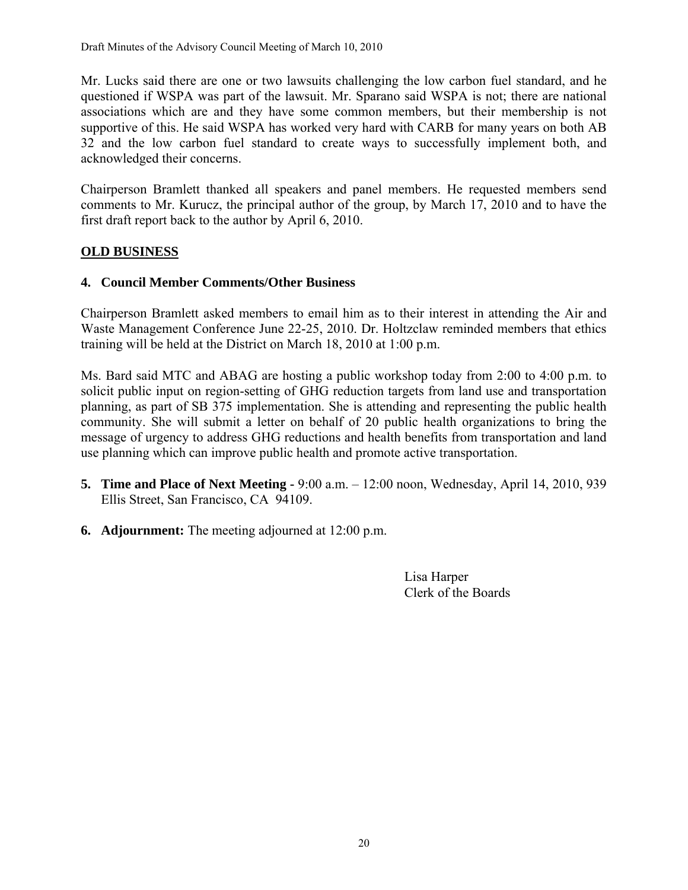Mr. Lucks said there are one or two lawsuits challenging the low carbon fuel standard, and he questioned if WSPA was part of the lawsuit. Mr. Sparano said WSPA is not; there are national associations which are and they have some common members, but their membership is not supportive of this. He said WSPA has worked very hard with CARB for many years on both AB 32 and the low carbon fuel standard to create ways to successfully implement both, and acknowledged their concerns.

Chairperson Bramlett thanked all speakers and panel members. He requested members send comments to Mr. Kurucz, the principal author of the group, by March 17, 2010 and to have the first draft report back to the author by April 6, 2010.

# **OLD BUSINESS**

#### **4. Council Member Comments/Other Business**

Chairperson Bramlett asked members to email him as to their interest in attending the Air and Waste Management Conference June 22-25, 2010. Dr. Holtzclaw reminded members that ethics training will be held at the District on March 18, 2010 at 1:00 p.m.

Ms. Bard said MTC and ABAG are hosting a public workshop today from 2:00 to 4:00 p.m. to solicit public input on region-setting of GHG reduction targets from land use and transportation planning, as part of SB 375 implementation. She is attending and representing the public health community. She will submit a letter on behalf of 20 public health organizations to bring the message of urgency to address GHG reductions and health benefits from transportation and land use planning which can improve public health and promote active transportation.

- **5. Time and Place of Next Meeting** 9:00 a.m. 12:00 noon, Wednesday, April 14, 2010, 939 Ellis Street, San Francisco, CA 94109.
- **6. Adjournment:** The meeting adjourned at 12:00 p.m.

 Lisa Harper Clerk of the Boards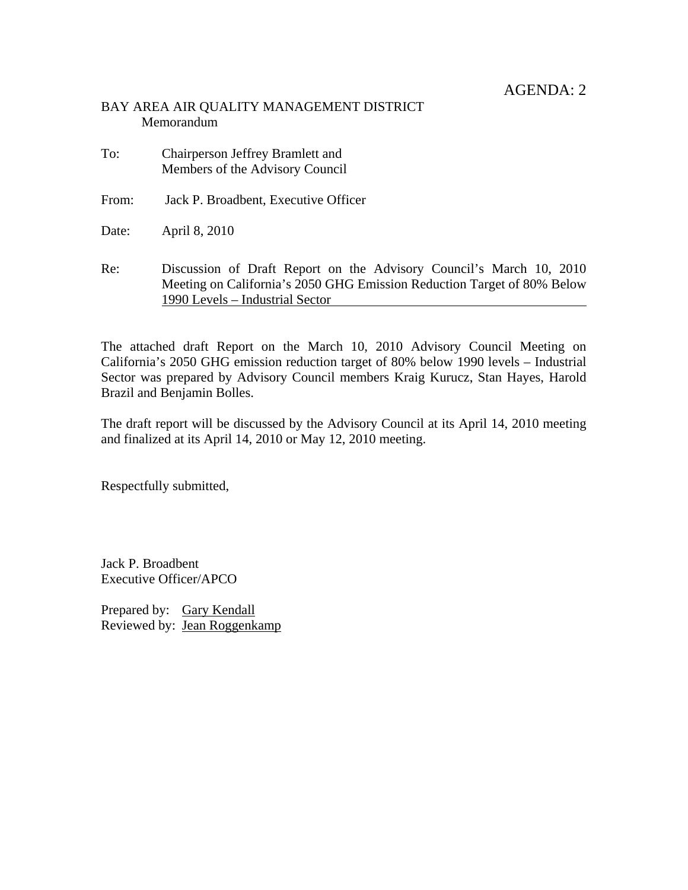# BAY AREA AIR QUALITY MANAGEMENT DISTRICT Memorandum

- To: Chairperson Jeffrey Bramlett and Members of the Advisory Council
- From: Jack P. Broadbent, Executive Officer
- Date: April 8, 2010
- Re: Discussion of Draft Report on the Advisory Council's March 10, 2010 Meeting on California's 2050 GHG Emission Reduction Target of 80% Below 1990 Levels – Industrial Sector

The attached draft Report on the March 10, 2010 Advisory Council Meeting on California's 2050 GHG emission reduction target of 80% below 1990 levels – Industrial Sector was prepared by Advisory Council members Kraig Kurucz, Stan Hayes, Harold Brazil and Benjamin Bolles.

The draft report will be discussed by the Advisory Council at its April 14, 2010 meeting and finalized at its April 14, 2010 or May 12, 2010 meeting.

Respectfully submitted,

Jack P. Broadbent Executive Officer/APCO

Prepared by: Gary Kendall Reviewed by: Jean Roggenkamp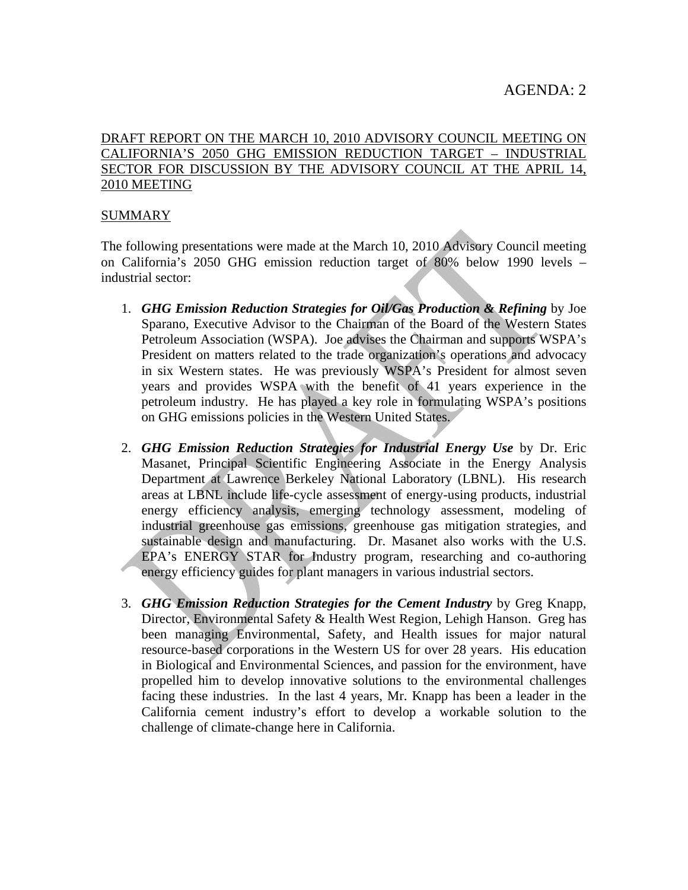#### DRAFT REPORT ON THE MARCH 10, 2010 ADVISORY COUNCIL MEETING ON CALIFORNIA'S 2050 GHG EMISSION REDUCTION TARGET – INDUSTRIAL SECTOR FOR DISCUSSION BY THE ADVISORY COUNCIL AT THE APRIL 14, 2010 MEETING

#### SUMMARY

The following presentations were made at the March 10, 2010 Advisory Council meeting on California's 2050 GHG emission reduction target of 80% below 1990 levels – industrial sector:

- 1. *GHG Emission Reduction Strategies for Oil/Gas Production & Refining* by Joe Sparano, Executive Advisor to the Chairman of the Board of the Western States Petroleum Association (WSPA). Joe advises the Chairman and supports WSPA's President on matters related to the trade organization's operations and advocacy in six Western states. He was previously WSPA's President for almost seven years and provides WSPA with the benefit of 41 years experience in the petroleum industry. He has played a key role in formulating WSPA's positions on GHG emissions policies in the Western United States.
- 2. *GHG Emission Reduction Strategies for Industrial Energy Use* by Dr. Eric Masanet, Principal Scientific Engineering Associate in the Energy Analysis Department at Lawrence Berkeley National Laboratory (LBNL). His research areas at LBNL include life-cycle assessment of energy-using products, industrial energy efficiency analysis, emerging technology assessment, modeling of industrial greenhouse gas emissions, greenhouse gas mitigation strategies, and sustainable design and manufacturing. Dr. Masanet also works with the U.S. EPA's ENERGY STAR for Industry program, researching and co-authoring energy efficiency guides for plant managers in various industrial sectors.
- 3. *GHG Emission Reduction Strategies for the Cement Industry* by Greg Knapp, Director, Environmental Safety & Health West Region, Lehigh Hanson. Greg has been managing Environmental, Safety, and Health issues for major natural resource-based corporations in the Western US for over 28 years. His education in Biological and Environmental Sciences, and passion for the environment, have propelled him to develop innovative solutions to the environmental challenges facing these industries. In the last 4 years, Mr. Knapp has been a leader in the California cement industry's effort to develop a workable solution to the challenge of climate-change here in California.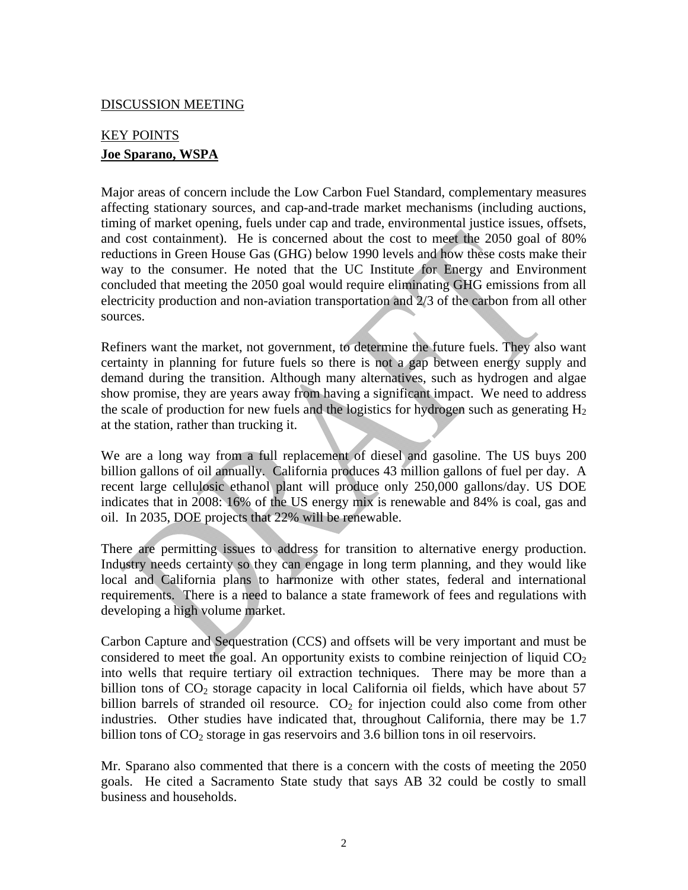#### DISCUSSION MEETING

# KEY POINTS **Joe Sparano, WSPA**

Major areas of concern include the Low Carbon Fuel Standard, complementary measures affecting stationary sources, and cap-and-trade market mechanisms (including auctions, timing of market opening, fuels under cap and trade, environmental justice issues, offsets, and cost containment). He is concerned about the cost to meet the 2050 goal of 80% reductions in Green House Gas (GHG) below 1990 levels and how these costs make their way to the consumer. He noted that the UC Institute for Energy and Environment concluded that meeting the 2050 goal would require eliminating GHG emissions from all electricity production and non-aviation transportation and 2/3 of the carbon from all other sources.

Refiners want the market, not government, to determine the future fuels. They also want certainty in planning for future fuels so there is not a gap between energy supply and demand during the transition. Although many alternatives, such as hydrogen and algae show promise, they are years away from having a significant impact. We need to address the scale of production for new fuels and the logistics for hydrogen such as generating  $H_2$ at the station, rather than trucking it.

We are a long way from a full replacement of diesel and gasoline. The US buys 200 billion gallons of oil annually. California produces 43 million gallons of fuel per day. A recent large cellulosic ethanol plant will produce only 250,000 gallons/day. US DOE indicates that in 2008: 16% of the US energy mix is renewable and 84% is coal, gas and oil. In 2035, DOE projects that 22% will be renewable.

There are permitting issues to address for transition to alternative energy production. Industry needs certainty so they can engage in long term planning, and they would like local and California plans to harmonize with other states, federal and international requirements. There is a need to balance a state framework of fees and regulations with developing a high volume market.

Carbon Capture and Sequestration (CCS) and offsets will be very important and must be considered to meet the goal. An opportunity exists to combine reinjection of liquid  $CO<sub>2</sub>$ into wells that require tertiary oil extraction techniques. There may be more than a billion tons of  $CO<sub>2</sub>$  storage capacity in local California oil fields, which have about 57 billion barrels of stranded oil resource.  $CO<sub>2</sub>$  for injection could also come from other industries. Other studies have indicated that, throughout California, there may be 1.7 billion tons of  $CO<sub>2</sub>$  storage in gas reservoirs and 3.6 billion tons in oil reservoirs.

Mr. Sparano also commented that there is a concern with the costs of meeting the 2050 goals. He cited a Sacramento State study that says AB 32 could be costly to small business and households.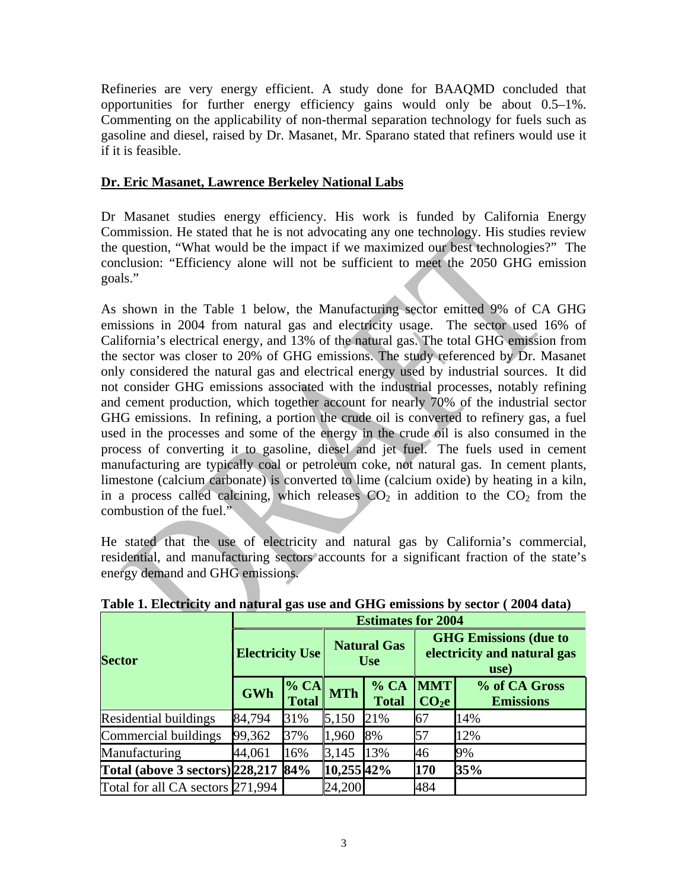Refineries are very energy efficient. A study done for BAAQMD concluded that opportunities for further energy efficiency gains would only be about 0.5–1%. Commenting on the applicability of non-thermal separation technology for fuels such as gasoline and diesel, raised by Dr. Masanet, Mr. Sparano stated that refiners would use it if it is feasible.

#### **Dr. Eric Masanet, Lawrence Berkeley National Labs**

Dr Masanet studies energy efficiency. His work is funded by California Energy Commission. He stated that he is not advocating any one technology. His studies review the question, "What would be the impact if we maximized our best technologies?" The conclusion: "Efficiency alone will not be sufficient to meet the 2050 GHG emission goals."

As shown in the Table 1 below, the Manufacturing sector emitted 9% of CA GHG emissions in 2004 from natural gas and electricity usage. The sector used 16% of California's electrical energy, and 13% of the natural gas. The total GHG emission from the sector was closer to 20% of GHG emissions. The study referenced by Dr. Masanet only considered the natural gas and electrical energy used by industrial sources. It did not consider GHG emissions associated with the industrial processes, notably refining and cement production, which together account for nearly 70% of the industrial sector GHG emissions. In refining, a portion the crude oil is converted to refinery gas, a fuel used in the processes and some of the energy in the crude oil is also consumed in the process of converting it to gasoline, diesel and jet fuel. The fuels used in cement manufacturing are typically coal or petroleum coke, not natural gas. In cement plants, limestone (calcium carbonate) is converted to lime (calcium oxide) by heating in a kiln, in a process called calcining, which releases  $CO<sub>2</sub>$  in addition to the  $CO<sub>2</sub>$  from the combustion of the fuel."

He stated that the use of electricity and natural gas by California's commercial, residential, and manufacturing sectors accounts for a significant fraction of the state's energy demand and GHG emissions.

|                                      | o<br><b>Estimates for 2004</b> |                      |                                  |                      |                                                                     |                                   |  |
|--------------------------------------|--------------------------------|----------------------|----------------------------------|----------------------|---------------------------------------------------------------------|-----------------------------------|--|
| <b>Sector</b>                        | <b>Electricity Use</b>         |                      | <b>Natural Gas</b><br><b>Use</b> |                      | <b>GHG Emissions (due to</b><br>electricity and natural gas<br>use) |                                   |  |
|                                      | <b>GWh</b>                     | % CA<br><b>Total</b> | <b>MTh</b>                       | % CA<br><b>Total</b> | <b>MMT</b><br>CO <sub>2</sub> e                                     | % of CA Gross<br><b>Emissions</b> |  |
| Residential buildings                | 84,794                         | 31%                  | 5,150                            | 21%                  | 67                                                                  | 14%                               |  |
| Commercial buildings                 | 99,362                         | 37%                  | 1,960                            | 8%                   | 57                                                                  | 12%                               |  |
| Manufacturing                        | 44,061                         | 16%                  | 3,145                            | 13%                  | 46                                                                  | 9%                                |  |
| Total (above 3 sectors) 228, 217 84% |                                |                      | 10,255 42%                       |                      | 170                                                                 | 35%                               |  |
| Total for all CA sectors 271,994     |                                |                      | 24,200                           |                      | 484                                                                 |                                   |  |

**Table 1. Electricity and natural gas use and GHG emissions by sector ( 2004 data)**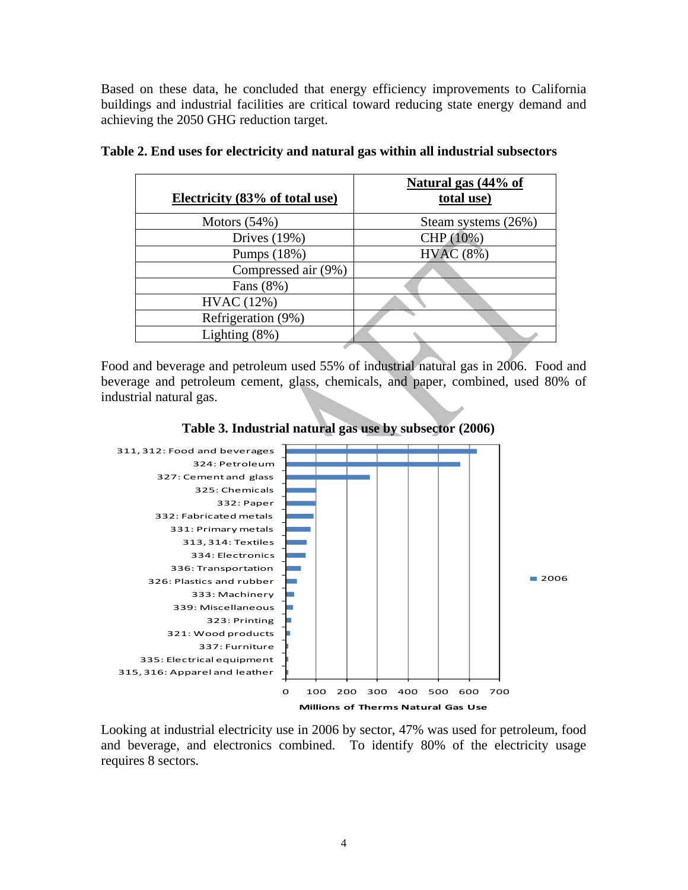Based on these data, he concluded that energy efficiency improvements to California buildings and industrial facilities are critical toward reducing state energy demand and achieving the 2050 GHG reduction target.

| Electricity (83% of total use) | Natural gas (44% of<br>total use) |
|--------------------------------|-----------------------------------|
| Motors $(54%)$                 | Steam systems (26%)               |
| Drives $(19%)$                 | CHP (10%)                         |
| Pumps (18%)                    | HVAC(8%)                          |
| Compressed air (9%)            |                                   |
| Fans (8%)                      |                                   |
| HVAC (12%)                     |                                   |
| Refrigeration (9%)             |                                   |
| Lighting $(8\%)$               |                                   |
|                                |                                   |

|  |  | Table 2. End uses for electricity and natural gas within all industrial subsectors |  |  |
|--|--|------------------------------------------------------------------------------------|--|--|
|  |  |                                                                                    |  |  |

Food and beverage and petroleum used 55% of industrial natural gas in 2006. Food and beverage and petroleum cement, glass, chemicals, and paper, combined, used 80% of industrial natural gas.





Looking at industrial electricity use in 2006 by sector, 47% was used for petroleum, food and beverage, and electronics combined. To identify 80% of the electricity usage requires 8 sectors.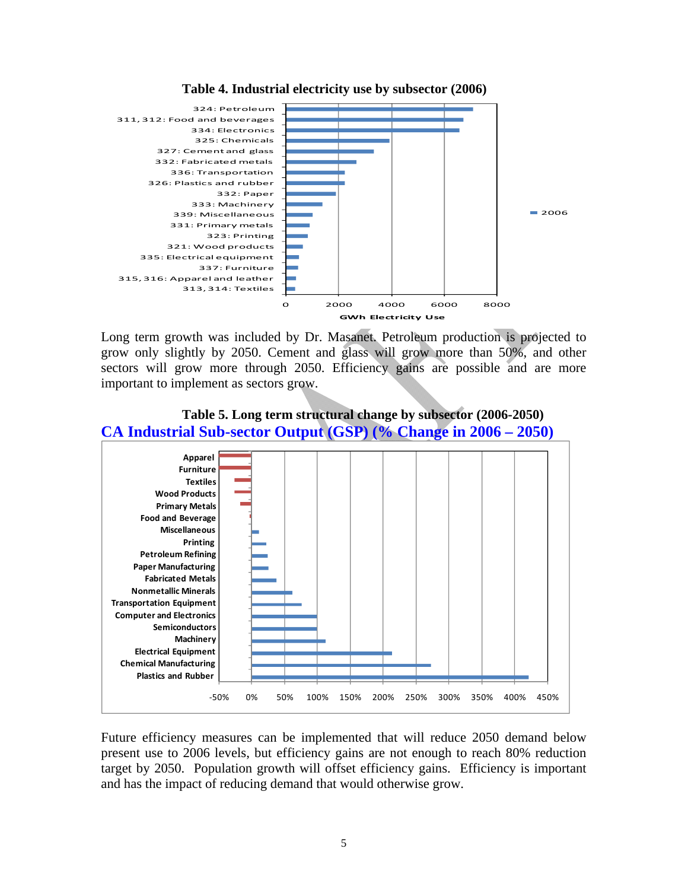

**Table 4. Industrial electricity use by subsector (2006)** 

Long term growth was included by Dr. Masanet. Petroleum production is projected to grow only slightly by 2050. Cement and glass will grow more than 50%, and other sectors will grow more through 2050. Efficiency gains are possible and are more important to implement as sectors grow.



# **Table 5. Long term structural change by subsector (2006-2050)**

Future efficiency measures can be implemented that will reduce 2050 demand below present use to 2006 levels, but efficiency gains are not enough to reach 80% reduction target by 2050. Population growth will offset efficiency gains. Efficiency is important and has the impact of reducing demand that would otherwise grow.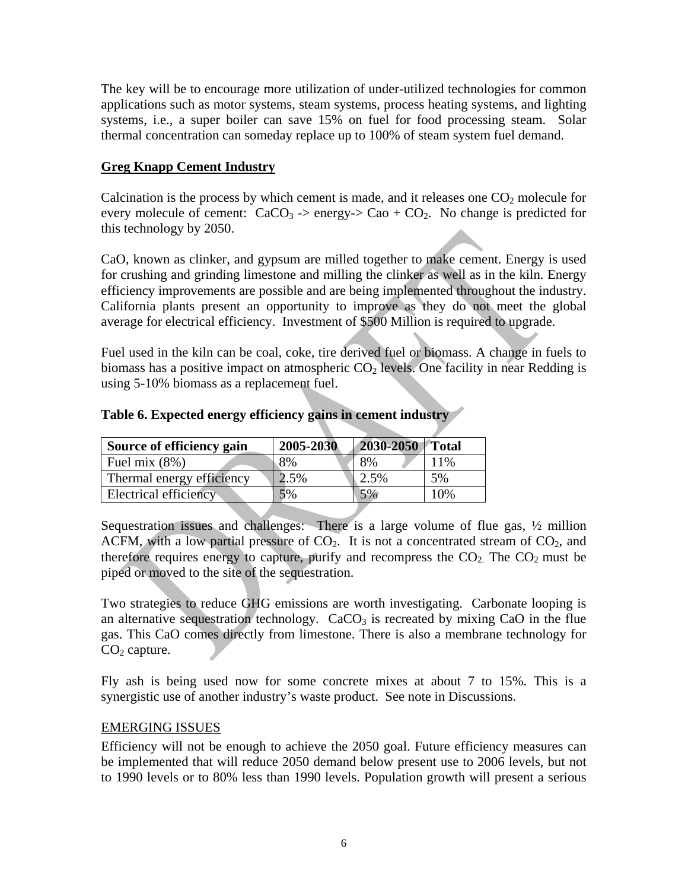The key will be to encourage more utilization of under-utilized technologies for common applications such as motor systems, steam systems, process heating systems, and lighting systems, i.e., a super boiler can save 15% on fuel for food processing steam. Solar thermal concentration can someday replace up to 100% of steam system fuel demand.

# **Greg Knapp Cement Industry**

Calcination is the process by which cement is made, and it releases one  $CO<sub>2</sub>$  molecule for every molecule of cement:  $CaCO<sub>3</sub> \rightarrow$  energy- $> CaO + CO<sub>2</sub>$ . No change is predicted for this technology by 2050.

CaO, known as clinker, and gypsum are milled together to make cement. Energy is used for crushing and grinding limestone and milling the clinker as well as in the kiln. Energy efficiency improvements are possible and are being implemented throughout the industry. California plants present an opportunity to improve as they do not meet the global average for electrical efficiency. Investment of \$500 Million is required to upgrade.

Fuel used in the kiln can be coal, coke, tire derived fuel or biomass. A change in fuels to biomass has a positive impact on atmospheric  $CO<sub>2</sub>$  levels. One facility in near Redding is using 5-10% biomass as a replacement fuel.

| Source of efficiency gain | 2005-2030 | 2030-2050 Total |     |
|---------------------------|-----------|-----------------|-----|
| Fuel mix $(8\%)$          | 8%        | 8%              | 11% |
| Thermal energy efficiency | 2.5%      | 2.5%            | 5%  |
| Electrical efficiency     | 5%        | 5%              | 10% |
|                           |           |                 |     |

# **Table 6. Expected energy efficiency gains in cement industry**

Sequestration issues and challenges: There is a large volume of flue gas, ½ million ACFM, with a low partial pressure of  $CO<sub>2</sub>$ . It is not a concentrated stream of  $CO<sub>2</sub>$ , and therefore requires energy to capture, purify and recompress the  $CO<sub>2</sub>$ . The  $CO<sub>2</sub>$  must be piped or moved to the site of the sequestration.

Two strategies to reduce GHG emissions are worth investigating. Carbonate looping is an alternative sequestration technology.  $CaCO<sub>3</sub>$  is recreated by mixing CaO in the flue gas. This CaO comes directly from limestone. There is also a membrane technology for  $CO<sub>2</sub>$  capture.

Fly ash is being used now for some concrete mixes at about 7 to 15%. This is a synergistic use of another industry's waste product. See note in Discussions.

# EMERGING ISSUES

Efficiency will not be enough to achieve the 2050 goal. Future efficiency measures can be implemented that will reduce 2050 demand below present use to 2006 levels, but not to 1990 levels or to 80% less than 1990 levels. Population growth will present a serious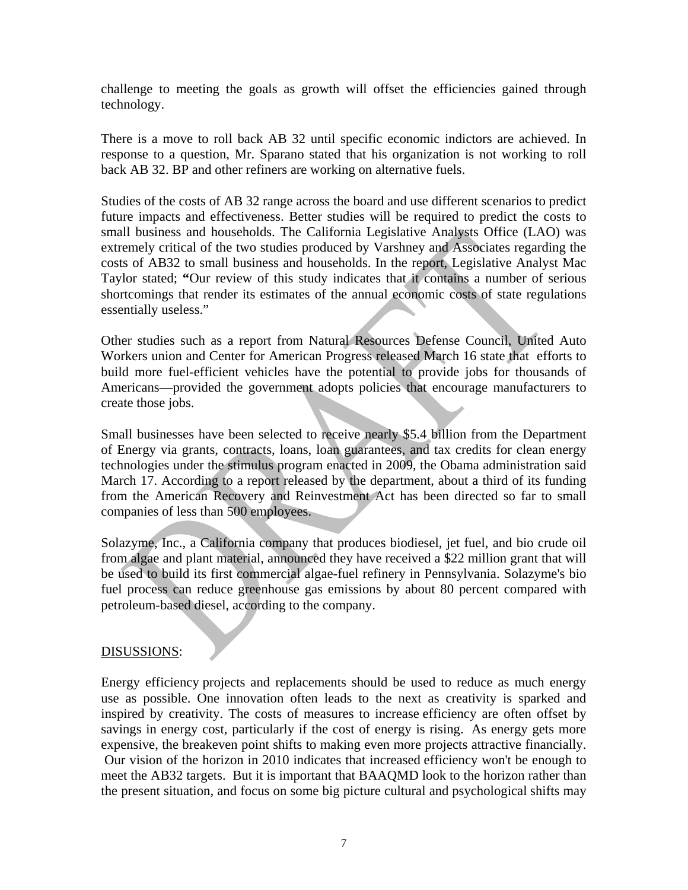challenge to meeting the goals as growth will offset the efficiencies gained through technology.

There is a move to roll back AB 32 until specific economic indictors are achieved. In response to a question, Mr. Sparano stated that his organization is not working to roll back AB 32. BP and other refiners are working on alternative fuels.

Studies of the costs of AB 32 range across the board and use different scenarios to predict future impacts and effectiveness. Better studies will be required to predict the costs to small business and households. The California Legislative Analysts Office (LAO) was extremely critical of the two studies produced by Varshney and Associates regarding the costs of AB32 to small business and households. In the report, Legislative Analyst Mac Taylor stated; **"**Our review of this study indicates that it contains a number of serious shortcomings that render its estimates of the annual economic costs of state regulations essentially useless."

Other studies such as a report from Natural Resources Defense Council, United Auto Workers union and Center for American Progress released March 16 state that efforts to build more fuel-efficient vehicles have the potential to provide jobs for thousands of Americans—provided the government adopts policies that encourage manufacturers to create those jobs.

Small businesses have been selected to receive nearly \$5.4 billion from the Department of Energy via grants, contracts, loans, loan guarantees, and tax credits for clean energy technologies under the stimulus program enacted in 2009, the Obama administration said March 17. According to a [report](http://www.energy.gov/recovery/documents/Small_Business_Memo_Mar2010.pdf) released by the department, about a third of its funding from the American Recovery and Reinvestment Act has been directed so far to small companies of less than 500 employees.

Solazyme, Inc., a California company that produces biodiesel, jet fuel, and bio crude oil from algae and plant material, announced they have received a \$22 million grant that will be used to build its first commercial algae-fuel refinery in Pennsylvania. Solazyme's bio fuel process can reduce greenhouse gas emissions by about 80 percent compared with petroleum-based diesel, according to the company.

#### DISUSSIONS:

Energy efficiency projects and replacements should be used to reduce as much energy use as possible. One innovation often leads to the next as creativity is sparked and inspired by creativity. The costs of measures to increase efficiency are often offset by savings in energy cost, particularly if the cost of energy is rising. As energy gets more expensive, the breakeven point shifts to making even more projects attractive financially. Our vision of the horizon in 2010 indicates that increased efficiency won't be enough to meet the AB32 targets. But it is important that BAAQMD look to the horizon rather than the present situation, and focus on some big picture cultural and psychological shifts may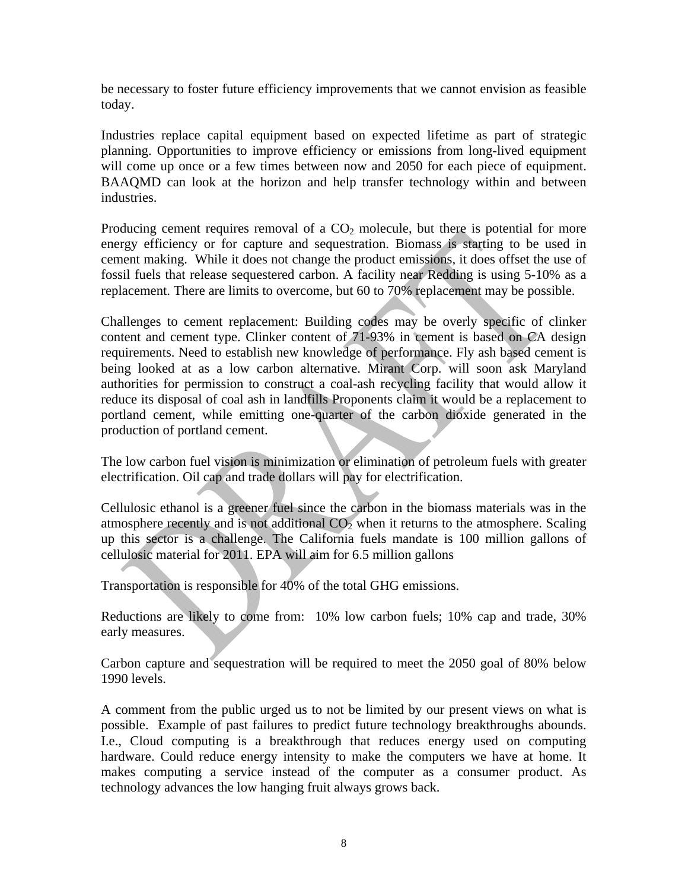be necessary to foster future efficiency improvements that we cannot envision as feasible today.

Industries replace capital equipment based on expected lifetime as part of strategic planning. Opportunities to improve efficiency or emissions from long-lived equipment will come up once or a few times between now and 2050 for each piece of equipment. BAAQMD can look at the horizon and help transfer technology within and between industries.

Producing cement requires removal of a  $CO<sub>2</sub>$  molecule, but there is potential for more energy efficiency or for capture and sequestration. Biomass is starting to be used in cement making. While it does not change the product emissions, it does offset the use of fossil fuels that release sequestered carbon. A facility near Redding is using 5-10% as a replacement. There are limits to overcome, but 60 to 70% replacement may be possible.

Challenges to cement replacement: Building codes may be overly specific of clinker content and cement type. Clinker content of 71-93% in cement is based on CA design requirements. Need to establish new knowledge of performance. Fly ash based cement is being looked at as a low carbon alternative. Mirant Corp. will soon ask Maryland authorities for permission to construct a coal-ash recycling facility that would allow it reduce its disposal of coal ash in landfills Proponents claim it would be a replacement to portland cement, while emitting one-quarter of the carbon dioxide generated in the production of portland cement.

The low carbon fuel vision is minimization or elimination of petroleum fuels with greater electrification. Oil cap and trade dollars will pay for electrification.

Cellulosic ethanol is a greener fuel since the carbon in the biomass materials was in the atmosphere recently and is not additional  $CO<sub>2</sub>$  when it returns to the atmosphere. Scaling up this sector is a challenge. The California fuels mandate is 100 million gallons of cellulosic material for 2011. EPA will aim for 6.5 million gallons

Transportation is responsible for 40% of the total GHG emissions.

Reductions are likely to come from: 10% low carbon fuels; 10% cap and trade, 30% early measures.

Carbon capture and sequestration will be required to meet the 2050 goal of 80% below 1990 levels.

A comment from the public urged us to not be limited by our present views on what is possible. Example of past failures to predict future technology breakthroughs abounds. I.e., Cloud computing is a breakthrough that reduces energy used on computing hardware. Could reduce energy intensity to make the computers we have at home. It makes computing a service instead of the computer as a consumer product. As technology advances the low hanging fruit always grows back.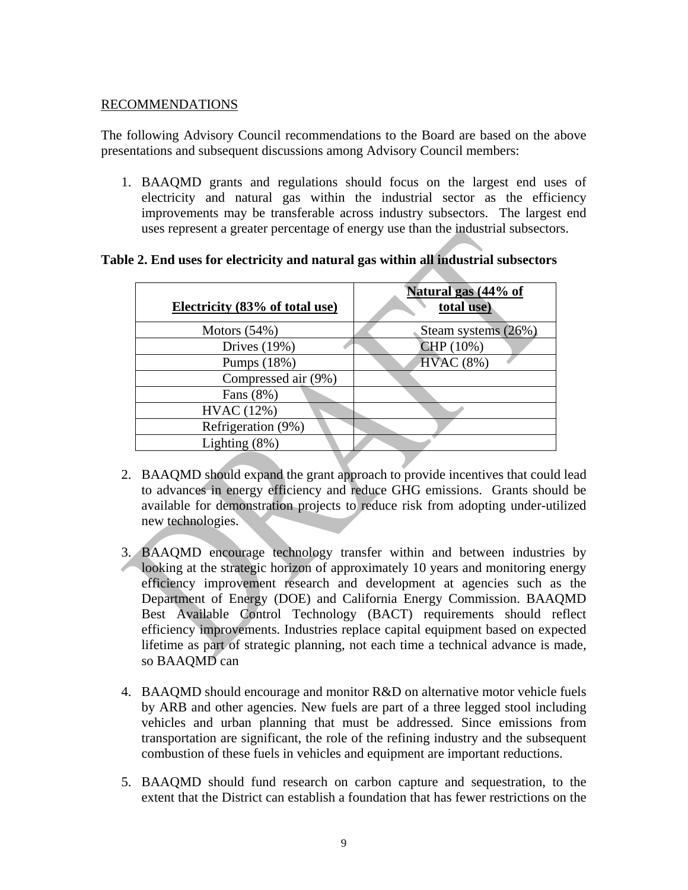#### RECOMMENDATIONS

The following Advisory Council recommendations to the Board are based on the above presentations and subsequent discussions among Advisory Council members:

1. BAAQMD grants and regulations should focus on the largest end uses of electricity and natural gas within the industrial sector as the efficiency improvements may be transferable across industry subsectors. The largest end uses represent a greater percentage of energy use than the industrial subsectors.

| Electricity (83% of total use) | Natural gas (44% of<br>total use) |
|--------------------------------|-----------------------------------|
| Motors $(54%)$                 | Steam systems (26%)               |
| Drives $(19%)$                 | CHP (10%)                         |
| Pumps (18%)                    | <b>HVAC</b> (8%)                  |
| Compressed air (9%)            |                                   |
| Fans (8%)                      |                                   |
| HVAC (12%)                     |                                   |
| Refrigeration (9%)             |                                   |
| Lighting $(8\%)$               |                                   |
|                                |                                   |

#### **Table 2. End uses for electricity and natural gas within all industrial subsectors**

- 2. BAAQMD should expand the grant approach to provide incentives that could lead to advances in energy efficiency and reduce GHG emissions. Grants should be available for demonstration projects to reduce risk from adopting under-utilized new technologies.
- 3. BAAQMD encourage technology transfer within and between industries by looking at the strategic horizon of approximately 10 years and monitoring energy efficiency improvement research and development at agencies such as the Department of Energy (DOE) and California Energy Commission. BAAQMD Best Available Control Technology (BACT) requirements should reflect efficiency improvements. Industries replace capital equipment based on expected lifetime as part of strategic planning, not each time a technical advance is made, so BAAQMD can
- 4. BAAQMD should encourage and monitor R&D on alternative motor vehicle fuels by ARB and other agencies. New fuels are part of a three legged stool including vehicles and urban planning that must be addressed. Since emissions from transportation are significant, the role of the refining industry and the subsequent combustion of these fuels in vehicles and equipment are important reductions.
- 5. BAAQMD should fund research on carbon capture and sequestration, to the extent that the District can establish a foundation that has fewer restrictions on the